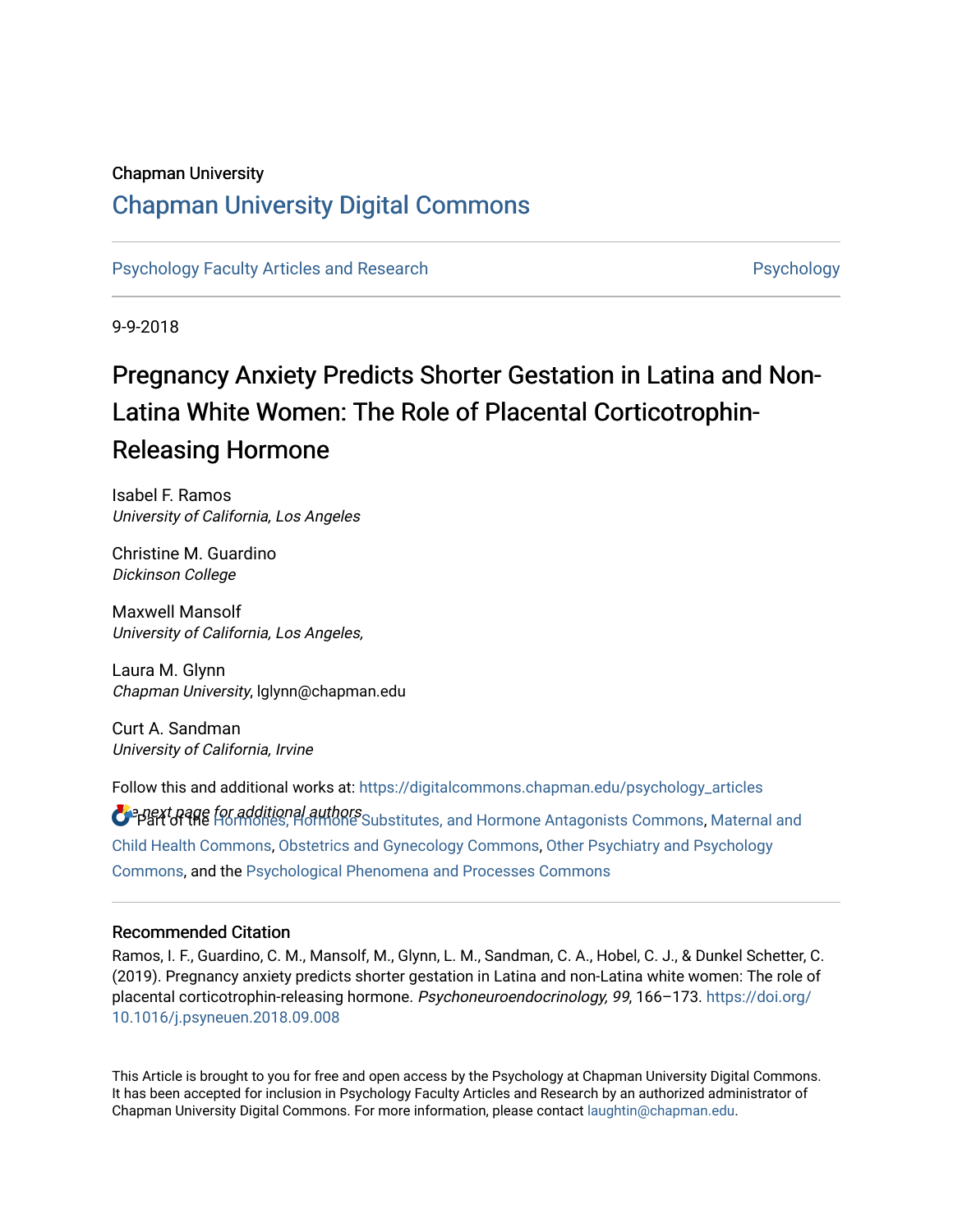# Chapman University

# [Chapman University Digital Commons](https://digitalcommons.chapman.edu/)

[Psychology Faculty Articles and Research](https://digitalcommons.chapman.edu/psychology_articles) **Provident Contact Article Structure** Psychology

9-9-2018

# Pregnancy Anxiety Predicts Shorter Gestation in Latina and Non-Latina White Women: The Role of Placental Corticotrophin-Releasing Hormone

Isabel F. Ramos University of California, Los Angeles

Christine M. Guardino Dickinson College

Maxwell Mansolf University of California, Los Angeles,

Laura M. Glynn Chapman University, lglynn@chapman.edu

Curt A. Sandman University of California, Irvine

Follow this and additional works at: [https://digitalcommons.chapman.edu/psychology\\_articles](https://digitalcommons.chapman.edu/psychology_articles?utm_source=digitalcommons.chapman.edu%2Fpsychology_articles%2F256&utm_medium=PDF&utm_campaign=PDFCoverPages)

**O** apext page for additional authors Substitutes, and Hormone Antagonists Commons, [Maternal and](http://network.bepress.com/hgg/discipline/745?utm_source=digitalcommons.chapman.edu%2Fpsychology_articles%2F256&utm_medium=PDF&utm_campaign=PDFCoverPages) [Child Health Commons,](http://network.bepress.com/hgg/discipline/745?utm_source=digitalcommons.chapman.edu%2Fpsychology_articles%2F256&utm_medium=PDF&utm_campaign=PDFCoverPages) [Obstetrics and Gynecology Commons,](http://network.bepress.com/hgg/discipline/693?utm_source=digitalcommons.chapman.edu%2Fpsychology_articles%2F256&utm_medium=PDF&utm_campaign=PDFCoverPages) [Other Psychiatry and Psychology](http://network.bepress.com/hgg/discipline/992?utm_source=digitalcommons.chapman.edu%2Fpsychology_articles%2F256&utm_medium=PDF&utm_campaign=PDFCoverPages)  [Commons](http://network.bepress.com/hgg/discipline/992?utm_source=digitalcommons.chapman.edu%2Fpsychology_articles%2F256&utm_medium=PDF&utm_campaign=PDFCoverPages), and the [Psychological Phenomena and Processes Commons](http://network.bepress.com/hgg/discipline/914?utm_source=digitalcommons.chapman.edu%2Fpsychology_articles%2F256&utm_medium=PDF&utm_campaign=PDFCoverPages) 

### Recommended Citation

Ramos, I. F., Guardino, C. M., Mansolf, M., Glynn, L. M., Sandman, C. A., Hobel, C. J., & Dunkel Schetter, C. (2019). Pregnancy anxiety predicts shorter gestation in Latina and non-Latina white women: The role of placental corticotrophin-releasing hormone. Psychoneuroendocrinology, 99, 166–173. [https://doi.org/](https://doi.org/10.1016/j.psyneuen.2018.09.008) [10.1016/j.psyneuen.2018.09.008](https://doi.org/10.1016/j.psyneuen.2018.09.008) 

This Article is brought to you for free and open access by the Psychology at Chapman University Digital Commons. It has been accepted for inclusion in Psychology Faculty Articles and Research by an authorized administrator of Chapman University Digital Commons. For more information, please contact [laughtin@chapman.edu](mailto:laughtin@chapman.edu).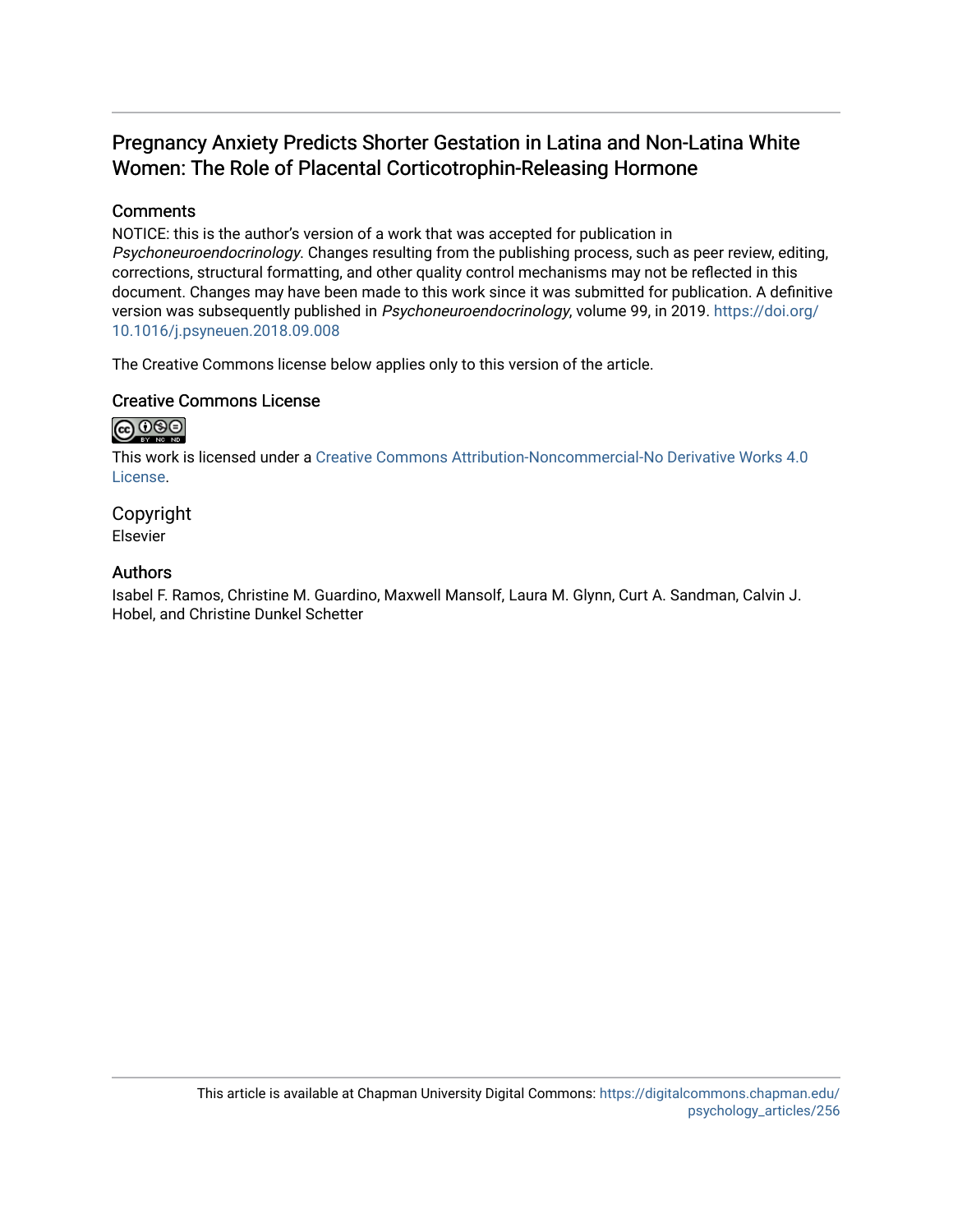# Pregnancy Anxiety Predicts Shorter Gestation in Latina and Non-Latina White Women: The Role of Placental Corticotrophin-Releasing Hormone

# **Comments**

NOTICE: this is the author's version of a work that was accepted for publication in Psychoneuroendocrinology. Changes resulting from the publishing process, such as peer review, editing, corrections, structural formatting, and other quality control mechanisms may not be reflected in this document. Changes may have been made to this work since it was submitted for publication. A definitive version was subsequently published in Psychoneuroendocrinology, volume 99, in 2019. [https://doi.org/](https://doi.org/10.1016/j.psyneuen.2018.09.008) [10.1016/j.psyneuen.2018.09.008](https://doi.org/10.1016/j.psyneuen.2018.09.008) 

The Creative Commons license below applies only to this version of the article.

# Creative Commons License

# $\bigcirc$   $\bigcirc$   $\bigcirc$

This work is licensed under a [Creative Commons Attribution-Noncommercial-No Derivative Works 4.0](https://creativecommons.org/licenses/by-nc-nd/4.0/) [License](https://creativecommons.org/licenses/by-nc-nd/4.0/).

Copyright Elsevier

# Authors

Isabel F. Ramos, Christine M. Guardino, Maxwell Mansolf, Laura M. Glynn, Curt A. Sandman, Calvin J. Hobel, and Christine Dunkel Schetter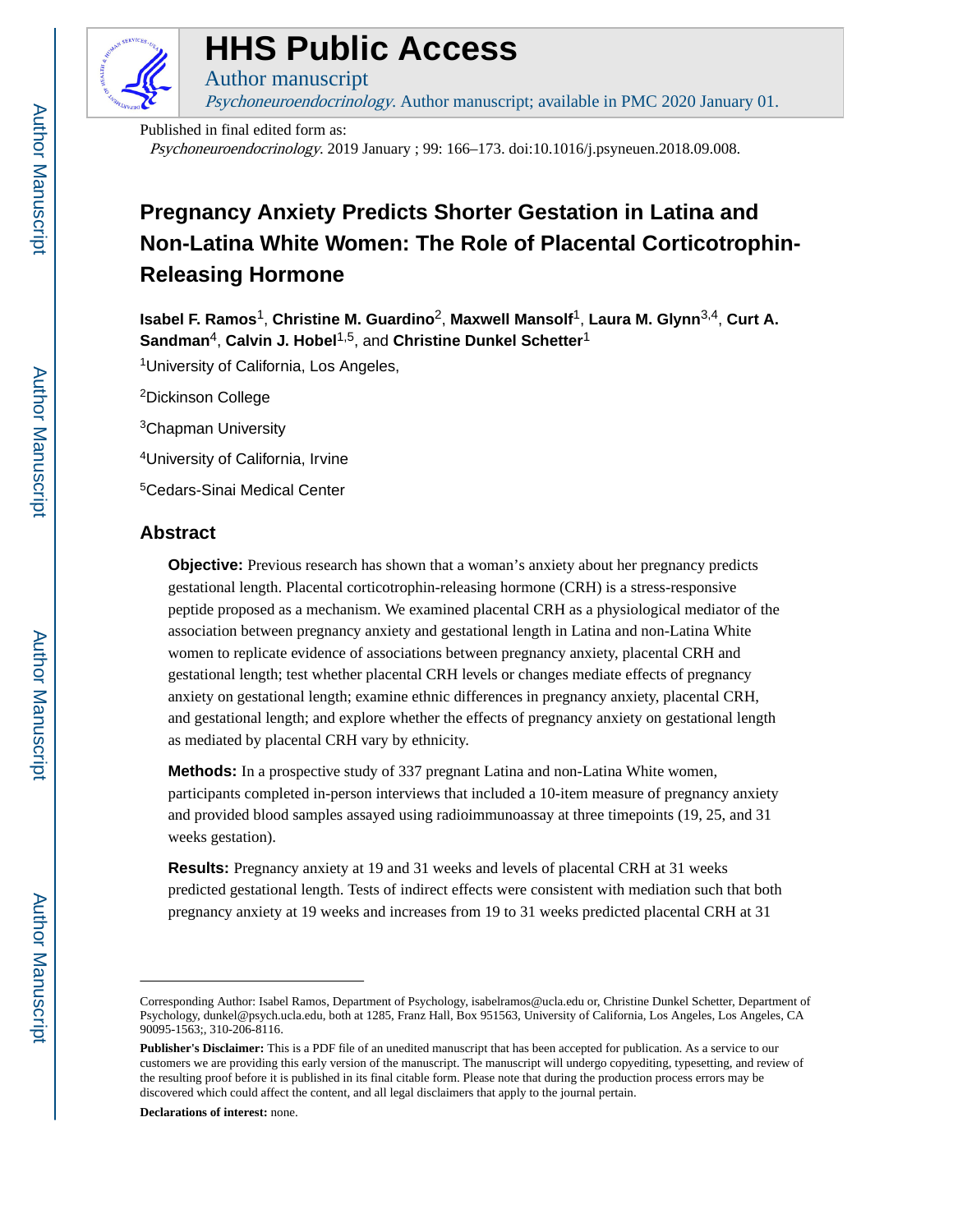

# **HHS Public Access**

Psychoneuroendocrinology. Author manuscript; available in PMC 2020 January 01.

Published in final edited form as: Psychoneuroendocrinology. 2019 January ; 99: 166–173. doi:10.1016/j.psyneuen.2018.09.008.

# **Pregnancy Anxiety Predicts Shorter Gestation in Latina and Non-Latina White Women: The Role of Placental Corticotrophin-Releasing Hormone**

**Isabel F. Ramos**1, **Christine M. Guardino**2, **Maxwell Mansolf**1, **Laura M. Glynn**3,4, **Curt A. Sandman**4, **Calvin J. Hobel**1,5, and **Christine Dunkel Schetter**<sup>1</sup>

<sup>1</sup>University of California, Los Angeles,

Author manuscript

<sup>2</sup>Dickinson College

<sup>3</sup>Chapman University

<sup>4</sup>University of California, Irvine

<sup>5</sup>Cedars-Sinai Medical Center

# **Abstract**

**Objective:** Previous research has shown that a woman's anxiety about her pregnancy predicts gestational length. Placental corticotrophin-releasing hormone (CRH) is a stress-responsive peptide proposed as a mechanism. We examined placental CRH as a physiological mediator of the association between pregnancy anxiety and gestational length in Latina and non-Latina White women to replicate evidence of associations between pregnancy anxiety, placental CRH and gestational length; test whether placental CRH levels or changes mediate effects of pregnancy anxiety on gestational length; examine ethnic differences in pregnancy anxiety, placental CRH, and gestational length; and explore whether the effects of pregnancy anxiety on gestational length as mediated by placental CRH vary by ethnicity.

**Methods:** In a prospective study of 337 pregnant Latina and non-Latina White women, participants completed in-person interviews that included a 10-item measure of pregnancy anxiety and provided blood samples assayed using radioimmunoassay at three timepoints (19, 25, and 31 weeks gestation).

**Results:** Pregnancy anxiety at 19 and 31 weeks and levels of placental CRH at 31 weeks predicted gestational length. Tests of indirect effects were consistent with mediation such that both pregnancy anxiety at 19 weeks and increases from 19 to 31 weeks predicted placental CRH at 31

**Declarations of interest:** none.

Corresponding Author: Isabel Ramos, Department of Psychology, isabelramos@ucla.edu or, Christine Dunkel Schetter, Department of Psychology, dunkel@psych.ucla.edu, both at 1285, Franz Hall, Box 951563, University of California, Los Angeles, Los Angeles, CA 90095-1563;, 310-206-8116.

**Publisher's Disclaimer:** This is a PDF file of an unedited manuscript that has been accepted for publication. As a service to our customers we are providing this early version of the manuscript. The manuscript will undergo copyediting, typesetting, and review of the resulting proof before it is published in its final citable form. Please note that during the production process errors may be discovered which could affect the content, and all legal disclaimers that apply to the journal pertain.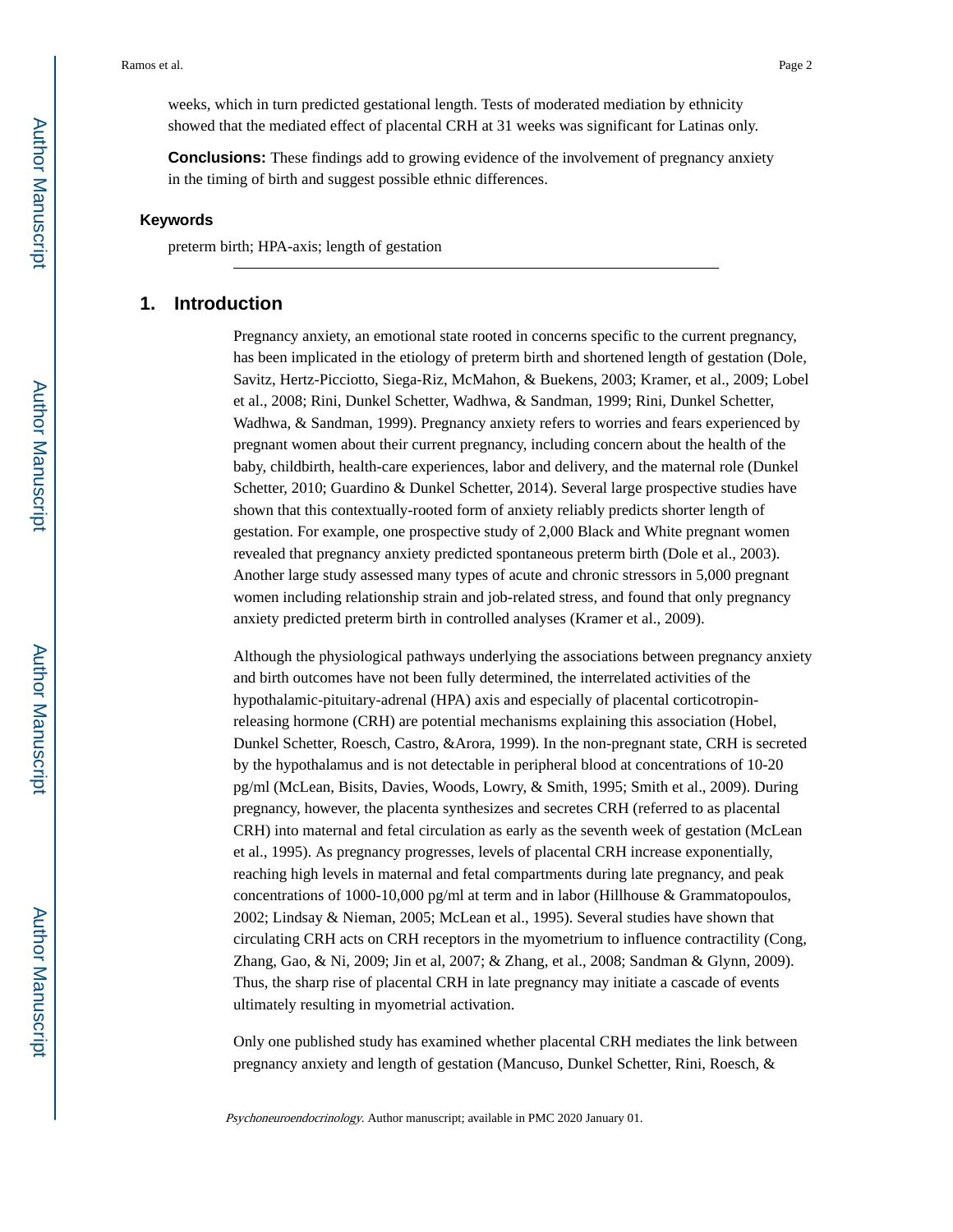weeks, which in turn predicted gestational length. Tests of moderated mediation by ethnicity showed that the mediated effect of placental CRH at 31 weeks was significant for Latinas only.

**Conclusions:** These findings add to growing evidence of the involvement of pregnancy anxiety in the timing of birth and suggest possible ethnic differences.

#### **Keywords**

preterm birth; HPA-axis; length of gestation

### **1. Introduction**

Pregnancy anxiety, an emotional state rooted in concerns specific to the current pregnancy, has been implicated in the etiology of preterm birth and shortened length of gestation (Dole, Savitz, Hertz-Picciotto, Siega-Riz, McMahon, & Buekens, 2003; Kramer, et al., 2009; Lobel et al., 2008; Rini, Dunkel Schetter, Wadhwa, & Sandman, 1999; Rini, Dunkel Schetter, Wadhwa, & Sandman, 1999). Pregnancy anxiety refers to worries and fears experienced by pregnant women about their current pregnancy, including concern about the health of the baby, childbirth, health-care experiences, labor and delivery, and the maternal role (Dunkel Schetter, 2010; Guardino & Dunkel Schetter, 2014). Several large prospective studies have shown that this contextually-rooted form of anxiety reliably predicts shorter length of gestation. For example, one prospective study of 2,000 Black and White pregnant women revealed that pregnancy anxiety predicted spontaneous preterm birth (Dole et al., 2003). Another large study assessed many types of acute and chronic stressors in 5,000 pregnant women including relationship strain and job-related stress, and found that only pregnancy anxiety predicted preterm birth in controlled analyses (Kramer et al., 2009).

Although the physiological pathways underlying the associations between pregnancy anxiety and birth outcomes have not been fully determined, the interrelated activities of the hypothalamic-pituitary-adrenal (HPA) axis and especially of placental corticotropinreleasing hormone (CRH) are potential mechanisms explaining this association (Hobel, Dunkel Schetter, Roesch, Castro, &Arora, 1999). In the non-pregnant state, CRH is secreted by the hypothalamus and is not detectable in peripheral blood at concentrations of 10-20 pg/ml (McLean, Bisits, Davies, Woods, Lowry, & Smith, 1995; Smith et al., 2009). During pregnancy, however, the placenta synthesizes and secretes CRH (referred to as placental CRH) into maternal and fetal circulation as early as the seventh week of gestation (McLean et al., 1995). As pregnancy progresses, levels of placental CRH increase exponentially, reaching high levels in maternal and fetal compartments during late pregnancy, and peak concentrations of 1000-10,000 pg/ml at term and in labor (Hillhouse & Grammatopoulos, 2002; Lindsay & Nieman, 2005; McLean et al., 1995). Several studies have shown that circulating CRH acts on CRH receptors in the myometrium to influence contractility (Cong, Zhang, Gao, & Ni, 2009; Jin et al, 2007; & Zhang, et al., 2008; Sandman & Glynn, 2009). Thus, the sharp rise of placental CRH in late pregnancy may initiate a cascade of events ultimately resulting in myometrial activation.

Only one published study has examined whether placental CRH mediates the link between pregnancy anxiety and length of gestation (Mancuso, Dunkel Schetter, Rini, Roesch, &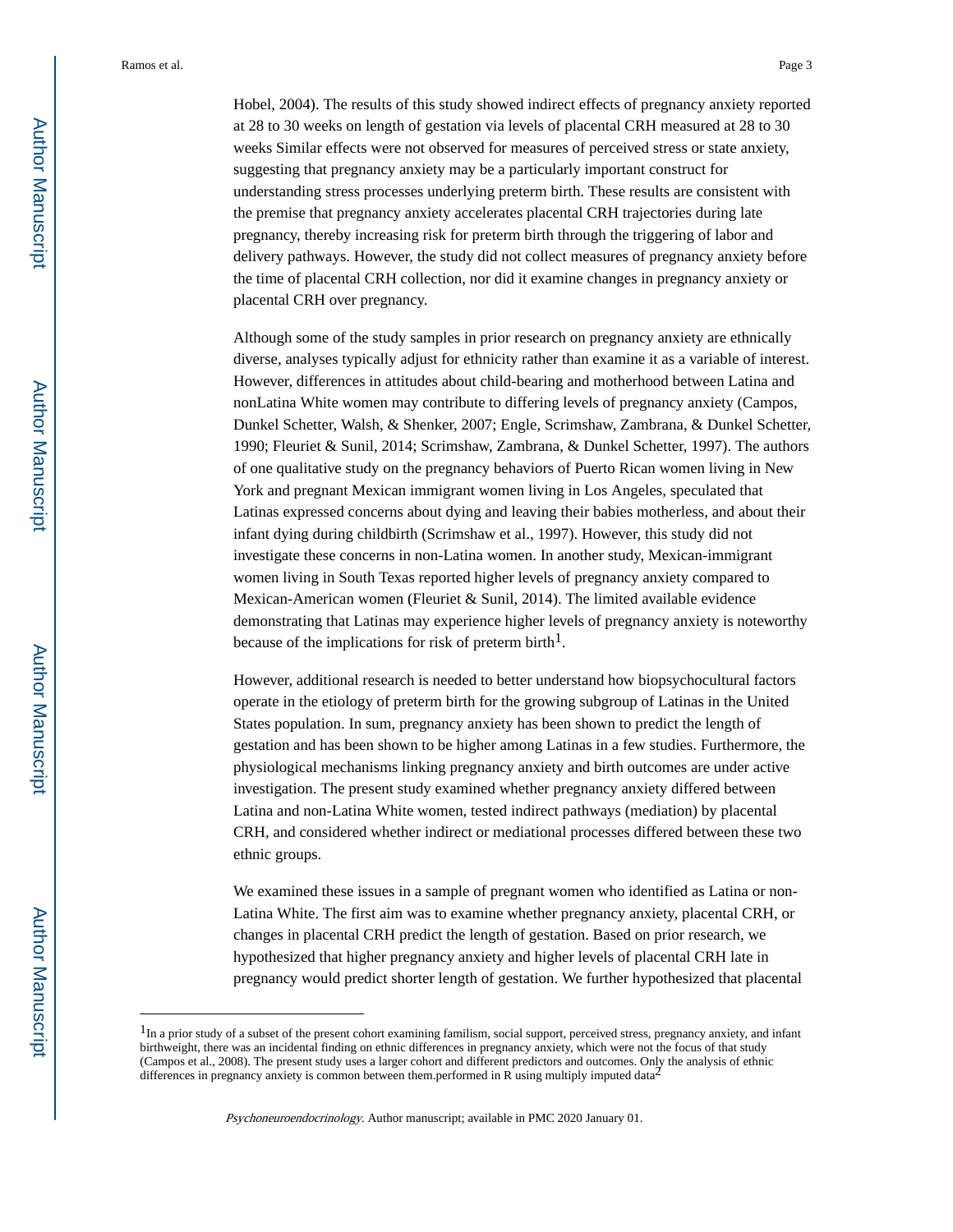Hobel, 2004). The results of this study showed indirect effects of pregnancy anxiety reported at 28 to 30 weeks on length of gestation via levels of placental CRH measured at 28 to 30 weeks Similar effects were not observed for measures of perceived stress or state anxiety, suggesting that pregnancy anxiety may be a particularly important construct for understanding stress processes underlying preterm birth. These results are consistent with the premise that pregnancy anxiety accelerates placental CRH trajectories during late pregnancy, thereby increasing risk for preterm birth through the triggering of labor and delivery pathways. However, the study did not collect measures of pregnancy anxiety before the time of placental CRH collection, nor did it examine changes in pregnancy anxiety or placental CRH over pregnancy.

Although some of the study samples in prior research on pregnancy anxiety are ethnically diverse, analyses typically adjust for ethnicity rather than examine it as a variable of interest. However, differences in attitudes about child-bearing and motherhood between Latina and nonLatina White women may contribute to differing levels of pregnancy anxiety (Campos, Dunkel Schetter, Walsh, & Shenker, 2007; Engle, Scrimshaw, Zambrana, & Dunkel Schetter, 1990; Fleuriet & Sunil, 2014; Scrimshaw, Zambrana, & Dunkel Schetter, 1997). The authors of one qualitative study on the pregnancy behaviors of Puerto Rican women living in New York and pregnant Mexican immigrant women living in Los Angeles, speculated that Latinas expressed concerns about dying and leaving their babies motherless, and about their infant dying during childbirth (Scrimshaw et al., 1997). However, this study did not investigate these concerns in non-Latina women. In another study, Mexican-immigrant women living in South Texas reported higher levels of pregnancy anxiety compared to Mexican-American women (Fleuriet & Sunil, 2014). The limited available evidence demonstrating that Latinas may experience higher levels of pregnancy anxiety is noteworthy because of the implications for risk of preterm birth<sup>1</sup>.

However, additional research is needed to better understand how biopsychocultural factors operate in the etiology of preterm birth for the growing subgroup of Latinas in the United States population. In sum, pregnancy anxiety has been shown to predict the length of gestation and has been shown to be higher among Latinas in a few studies. Furthermore, the physiological mechanisms linking pregnancy anxiety and birth outcomes are under active investigation. The present study examined whether pregnancy anxiety differed between Latina and non-Latina White women, tested indirect pathways (mediation) by placental CRH, and considered whether indirect or mediational processes differed between these two ethnic groups.

We examined these issues in a sample of pregnant women who identified as Latina or non-Latina White. The first aim was to examine whether pregnancy anxiety, placental CRH, or changes in placental CRH predict the length of gestation. Based on prior research, we hypothesized that higher pregnancy anxiety and higher levels of placental CRH late in pregnancy would predict shorter length of gestation. We further hypothesized that placental

<sup>&</sup>lt;sup>1</sup>In a prior study of a subset of the present cohort examining familism, social support, perceived stress, pregnancy anxiety, and infant birthweight, there was an incidental finding on ethnic differences in pregnancy anxiety, which were not the focus of that study (Campos et al., 2008). The present study uses a larger cohort and different predictors and outcomes. Only the analysis of ethnic differences in pregnancy anxiety is common between them.performed in R using multiply imputed data<sup>2</sup>

Psychoneuroendocrinology. Author manuscript; available in PMC 2020 January 01.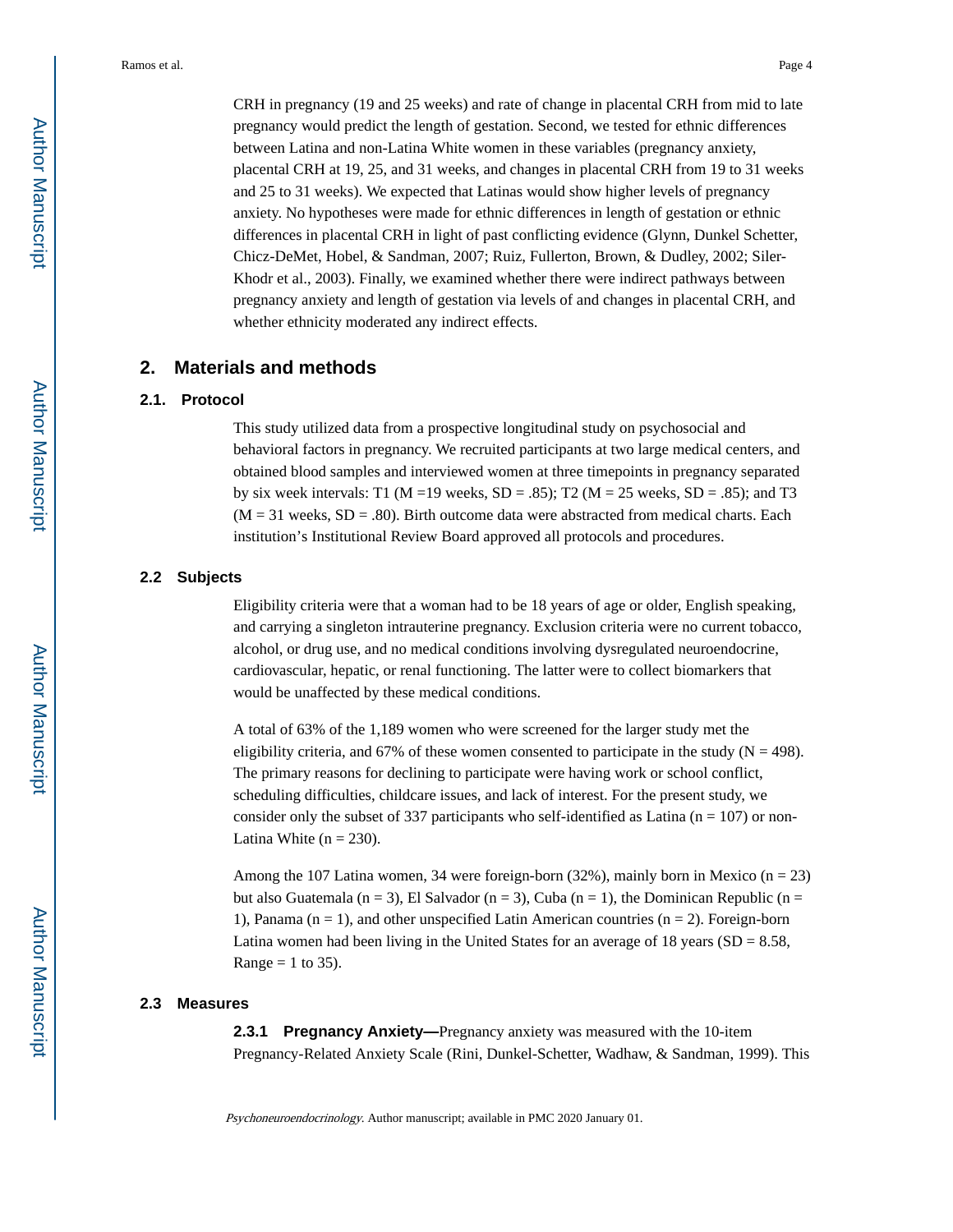CRH in pregnancy (19 and 25 weeks) and rate of change in placental CRH from mid to late pregnancy would predict the length of gestation. Second, we tested for ethnic differences between Latina and non-Latina White women in these variables (pregnancy anxiety, placental CRH at 19, 25, and 31 weeks, and changes in placental CRH from 19 to 31 weeks and 25 to 31 weeks). We expected that Latinas would show higher levels of pregnancy anxiety. No hypotheses were made for ethnic differences in length of gestation or ethnic differences in placental CRH in light of past conflicting evidence (Glynn, Dunkel Schetter, Chicz-DeMet, Hobel, & Sandman, 2007; Ruiz, Fullerton, Brown, & Dudley, 2002; Siler-Khodr et al., 2003). Finally, we examined whether there were indirect pathways between pregnancy anxiety and length of gestation via levels of and changes in placental CRH, and whether ethnicity moderated any indirect effects.

# **2. Materials and methods**

#### **2.1. Protocol**

This study utilized data from a prospective longitudinal study on psychosocial and behavioral factors in pregnancy. We recruited participants at two large medical centers, and obtained blood samples and interviewed women at three timepoints in pregnancy separated by six week intervals: T1 (M = 19 weeks, SD = .85); T2 (M = 25 weeks, SD = .85); and T3  $(M = 31$  weeks,  $SD = .80$ ). Birth outcome data were abstracted from medical charts. Each institution's Institutional Review Board approved all protocols and procedures.

#### **2.2 Subjects**

Eligibility criteria were that a woman had to be 18 years of age or older, English speaking, and carrying a singleton intrauterine pregnancy. Exclusion criteria were no current tobacco, alcohol, or drug use, and no medical conditions involving dysregulated neuroendocrine, cardiovascular, hepatic, or renal functioning. The latter were to collect biomarkers that would be unaffected by these medical conditions.

A total of 63% of the 1,189 women who were screened for the larger study met the eligibility criteria, and 67% of these women consented to participate in the study ( $N = 498$ ). The primary reasons for declining to participate were having work or school conflict, scheduling difficulties, childcare issues, and lack of interest. For the present study, we consider only the subset of 337 participants who self-identified as Latina ( $n = 107$ ) or non-Latina White  $(n = 230)$ .

Among the 107 Latina women, 34 were foreign-born  $(32\%)$ , mainly born in Mexico  $(n = 23)$ but also Guatemala (n = 3), El Salvador (n = 3), Cuba (n = 1), the Dominican Republic (n = 1), Panama ( $n = 1$ ), and other unspecified Latin American countries ( $n = 2$ ). Foreign-born Latina women had been living in the United States for an average of 18 years ( $SD = 8.58$ , Range  $= 1$  to 35).

#### **2.3 Measures**

**2.3.1 Pregnancy Anxiety—**Pregnancy anxiety was measured with the 10-item Pregnancy-Related Anxiety Scale (Rini, Dunkel-Schetter, Wadhaw, & Sandman, 1999). This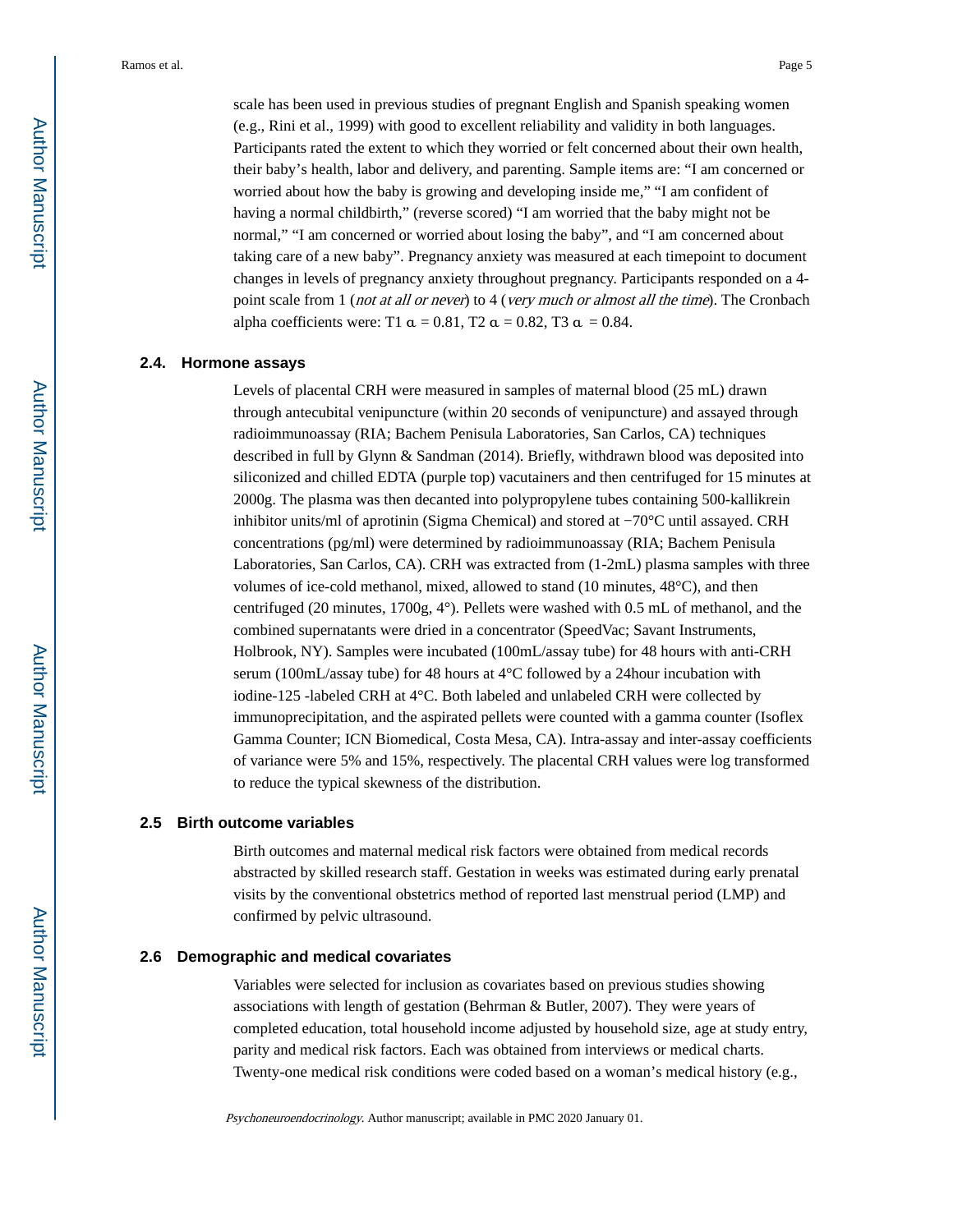scale has been used in previous studies of pregnant English and Spanish speaking women (e.g., Rini et al., 1999) with good to excellent reliability and validity in both languages. Participants rated the extent to which they worried or felt concerned about their own health, their baby's health, labor and delivery, and parenting. Sample items are: "I am concerned or worried about how the baby is growing and developing inside me," "I am confident of having a normal childbirth," (reverse scored) "I am worried that the baby might not be normal," "I am concerned or worried about losing the baby", and "I am concerned about taking care of a new baby". Pregnancy anxiety was measured at each timepoint to document changes in levels of pregnancy anxiety throughout pregnancy. Participants responded on a 4 point scale from 1 (*not at all or never*) to 4 (*very much or almost all the time*). The Cronbach alpha coefficients were: T1  $\alpha = 0.81$ , T2  $\alpha = 0.82$ , T3  $\alpha = 0.84$ .

#### **2.4. Hormone assays**

Levels of placental CRH were measured in samples of maternal blood (25 mL) drawn through antecubital venipuncture (within 20 seconds of venipuncture) and assayed through radioimmunoassay (RIA; Bachem Penisula Laboratories, San Carlos, CA) techniques described in full by Glynn & Sandman (2014). Briefly, withdrawn blood was deposited into siliconized and chilled EDTA (purple top) vacutainers and then centrifuged for 15 minutes at 2000g. The plasma was then decanted into polypropylene tubes containing 500-kallikrein inhibitor units/ml of aprotinin (Sigma Chemical) and stored at −70°C until assayed. CRH concentrations (pg/ml) were determined by radioimmunoassay (RIA; Bachem Penisula Laboratories, San Carlos, CA). CRH was extracted from (1-2mL) plasma samples with three volumes of ice-cold methanol, mixed, allowed to stand (10 minutes, 48°C), and then centrifuged (20 minutes, 1700g, 4°). Pellets were washed with 0.5 mL of methanol, and the combined supernatants were dried in a concentrator (SpeedVac; Savant Instruments, Holbrook, NY). Samples were incubated (100mL/assay tube) for 48 hours with anti-CRH serum (100mL/assay tube) for 48 hours at 4°C followed by a 24hour incubation with iodine-125 -labeled CRH at 4°C. Both labeled and unlabeled CRH were collected by immunoprecipitation, and the aspirated pellets were counted with a gamma counter (Isoflex Gamma Counter; ICN Biomedical, Costa Mesa, CA). Intra-assay and inter-assay coefficients of variance were 5% and 15%, respectively. The placental CRH values were log transformed to reduce the typical skewness of the distribution.

#### **2.5 Birth outcome variables**

Birth outcomes and maternal medical risk factors were obtained from medical records abstracted by skilled research staff. Gestation in weeks was estimated during early prenatal visits by the conventional obstetrics method of reported last menstrual period (LMP) and confirmed by pelvic ultrasound.

#### **2.6 Demographic and medical covariates**

Variables were selected for inclusion as covariates based on previous studies showing associations with length of gestation (Behrman & Butler, 2007). They were years of completed education, total household income adjusted by household size, age at study entry, parity and medical risk factors. Each was obtained from interviews or medical charts. Twenty-one medical risk conditions were coded based on a woman's medical history (e.g.,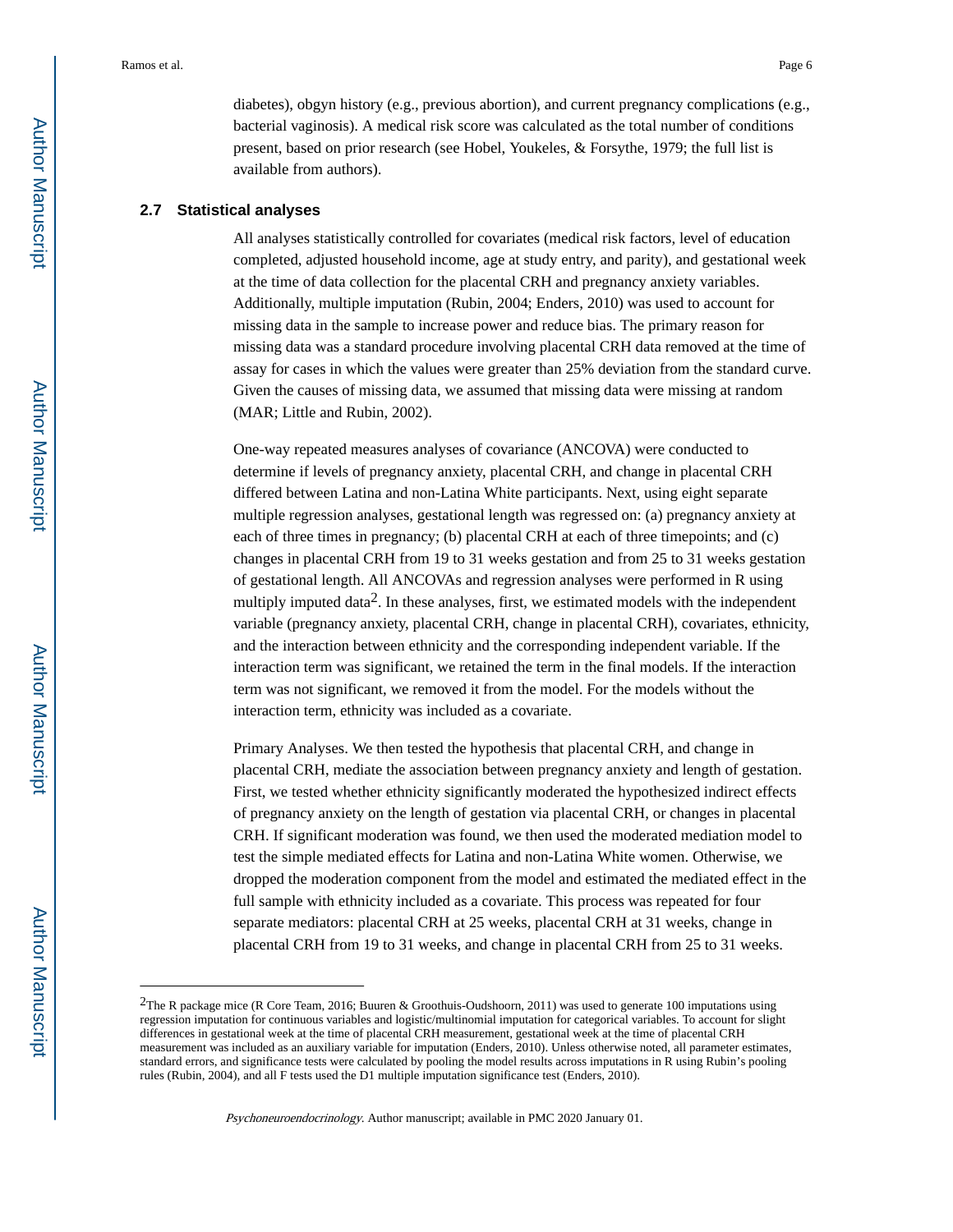diabetes), obgyn history (e.g., previous abortion), and current pregnancy complications (e.g., bacterial vaginosis). A medical risk score was calculated as the total number of conditions present, based on prior research (see Hobel, Youkeles, & Forsythe, 1979; the full list is available from authors).

#### **2.7 Statistical analyses**

All analyses statistically controlled for covariates (medical risk factors, level of education completed, adjusted household income, age at study entry, and parity), and gestational week at the time of data collection for the placental CRH and pregnancy anxiety variables. Additionally, multiple imputation (Rubin, 2004; Enders, 2010) was used to account for missing data in the sample to increase power and reduce bias. The primary reason for missing data was a standard procedure involving placental CRH data removed at the time of assay for cases in which the values were greater than 25% deviation from the standard curve. Given the causes of missing data, we assumed that missing data were missing at random (MAR; Little and Rubin, 2002).

One-way repeated measures analyses of covariance (ANCOVA) were conducted to determine if levels of pregnancy anxiety, placental CRH, and change in placental CRH differed between Latina and non-Latina White participants. Next, using eight separate multiple regression analyses, gestational length was regressed on: (a) pregnancy anxiety at each of three times in pregnancy; (b) placental CRH at each of three timepoints; and (c) changes in placental CRH from 19 to 31 weeks gestation and from 25 to 31 weeks gestation of gestational length. All ANCOVAs and regression analyses were performed in R using multiply imputed data<sup>2</sup>. In these analyses, first, we estimated models with the independent variable (pregnancy anxiety, placental CRH, change in placental CRH), covariates, ethnicity, and the interaction between ethnicity and the corresponding independent variable. If the interaction term was significant, we retained the term in the final models. If the interaction term was not significant, we removed it from the model. For the models without the interaction term, ethnicity was included as a covariate.

Primary Analyses. We then tested the hypothesis that placental CRH, and change in placental CRH, mediate the association between pregnancy anxiety and length of gestation. First, we tested whether ethnicity significantly moderated the hypothesized indirect effects of pregnancy anxiety on the length of gestation via placental CRH, or changes in placental CRH. If significant moderation was found, we then used the moderated mediation model to test the simple mediated effects for Latina and non-Latina White women. Otherwise, we dropped the moderation component from the model and estimated the mediated effect in the full sample with ethnicity included as a covariate. This process was repeated for four separate mediators: placental CRH at 25 weeks, placental CRH at 31 weeks, change in placental CRH from 19 to 31 weeks, and change in placental CRH from 25 to 31 weeks.

<sup>2</sup>The R package mice (R Core Team, 2016; Buuren & Groothuis-Oudshoorn, 2011) was used to generate 100 imputations using regression imputation for continuous variables and logistic/multinomial imputation for categorical variables. To account for slight differences in gestational week at the time of placental CRH measurement, gestational week at the time of placental CRH measurement was included as an auxiliary variable for imputation (Enders, 2010). Unless otherwise noted, all parameter estimates, standard errors, and significance tests were calculated by pooling the model results across imputations in R using Rubin's pooling rules (Rubin, 2004), and all F tests used the D1 multiple imputation significance test (Enders, 2010).

Psychoneuroendocrinology. Author manuscript; available in PMC 2020 January 01.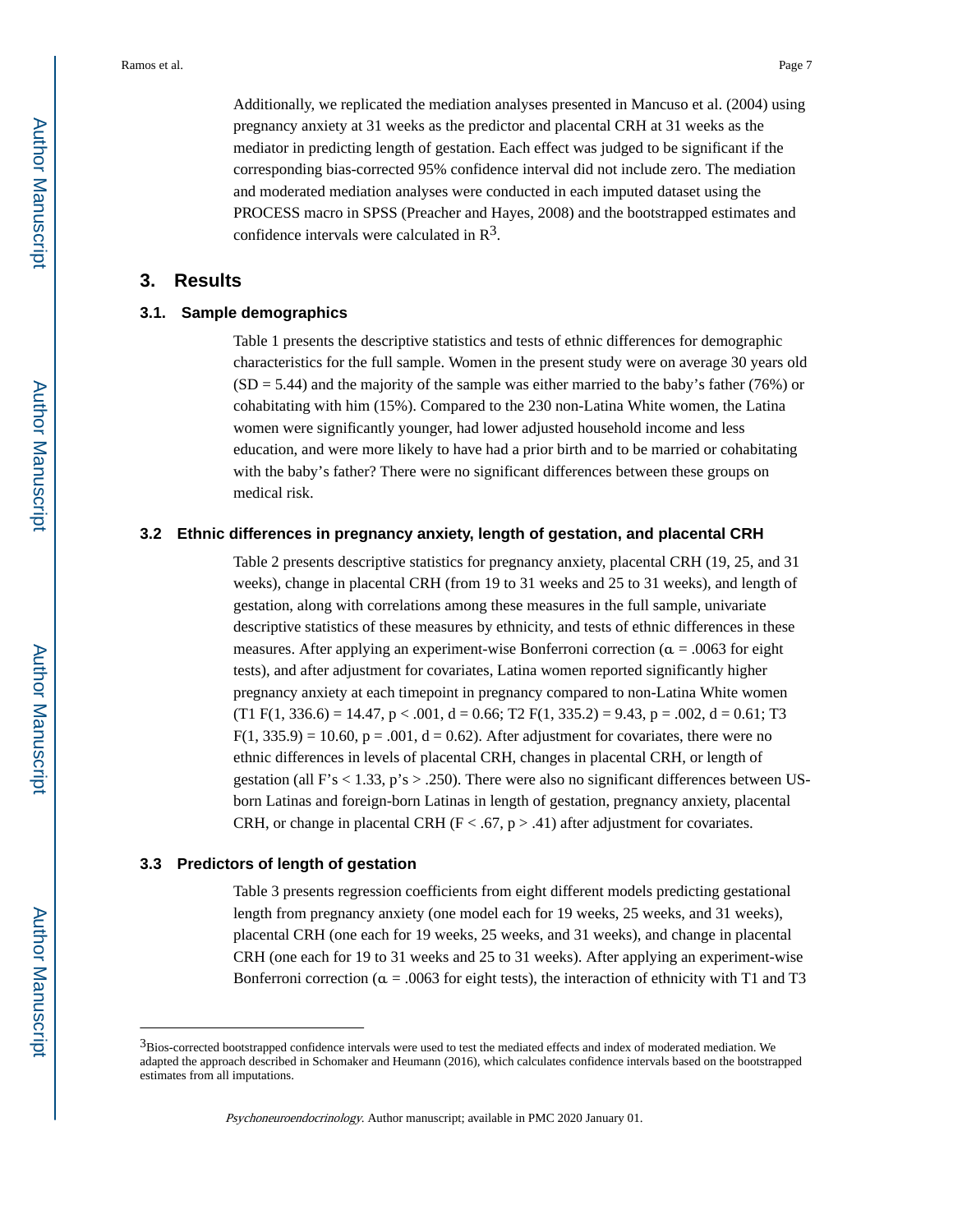Additionally, we replicated the mediation analyses presented in Mancuso et al. (2004) using pregnancy anxiety at 31 weeks as the predictor and placental CRH at 31 weeks as the mediator in predicting length of gestation. Each effect was judged to be significant if the corresponding bias-corrected 95% confidence interval did not include zero. The mediation and moderated mediation analyses were conducted in each imputed dataset using the PROCESS macro in SPSS (Preacher and Hayes, 2008) and the bootstrapped estimates and confidence intervals were calculated in  $\mathbb{R}^3$ .

## **3. Results**

#### **3.1. Sample demographics**

Table 1 presents the descriptive statistics and tests of ethnic differences for demographic characteristics for the full sample. Women in the present study were on average 30 years old  $(SD = 5.44)$  and the majority of the sample was either married to the baby's father (76%) or cohabitating with him (15%). Compared to the 230 non-Latina White women, the Latina women were significantly younger, had lower adjusted household income and less education, and were more likely to have had a prior birth and to be married or cohabitating with the baby's father? There were no significant differences between these groups on medical risk.

#### **3.2 Ethnic differences in pregnancy anxiety, length of gestation, and placental CRH**

Table 2 presents descriptive statistics for pregnancy anxiety, placental CRH (19, 25, and 31 weeks), change in placental CRH (from 19 to 31 weeks and 25 to 31 weeks), and length of gestation, along with correlations among these measures in the full sample, univariate descriptive statistics of these measures by ethnicity, and tests of ethnic differences in these measures. After applying an experiment-wise Bonferroni correction ( $\alpha$  = .0063 for eight tests), and after adjustment for covariates, Latina women reported significantly higher pregnancy anxiety at each timepoint in pregnancy compared to non-Latina White women  $(T1 \text{ F}(1, 336.6) = 14.47, p < .001, d = 0.66; T2 \text{ F}(1, 335.2) = 9.43, p = .002, d = 0.61; T3$  $F(1, 335.9) = 10.60$ ,  $p = .001$ ,  $d = 0.62$ ). After adjustment for covariates, there were no ethnic differences in levels of placental CRH, changes in placental CRH, or length of gestation (all  $F's < 1.33$ ,  $p's > .250$ ). There were also no significant differences between USborn Latinas and foreign-born Latinas in length of gestation, pregnancy anxiety, placental CRH, or change in placental CRH ( $F < .67$ ,  $p > .41$ ) after adjustment for covariates.

#### **3.3 Predictors of length of gestation**

Table 3 presents regression coefficients from eight different models predicting gestational length from pregnancy anxiety (one model each for 19 weeks, 25 weeks, and 31 weeks), placental CRH (one each for 19 weeks, 25 weeks, and 31 weeks), and change in placental CRH (one each for 19 to 31 weeks and 25 to 31 weeks). After applying an experiment-wise Bonferroni correction ( $\alpha$  = .0063 for eight tests), the interaction of ethnicity with T1 and T3

<sup>3</sup>Bios-corrected bootstrapped confidence intervals were used to test the mediated effects and index of moderated mediation. We adapted the approach described in Schomaker and Heumann (2016), which calculates confidence intervals based on the bootstrapped estimates from all imputations.

Psychoneuroendocrinology. Author manuscript; available in PMC 2020 January 01.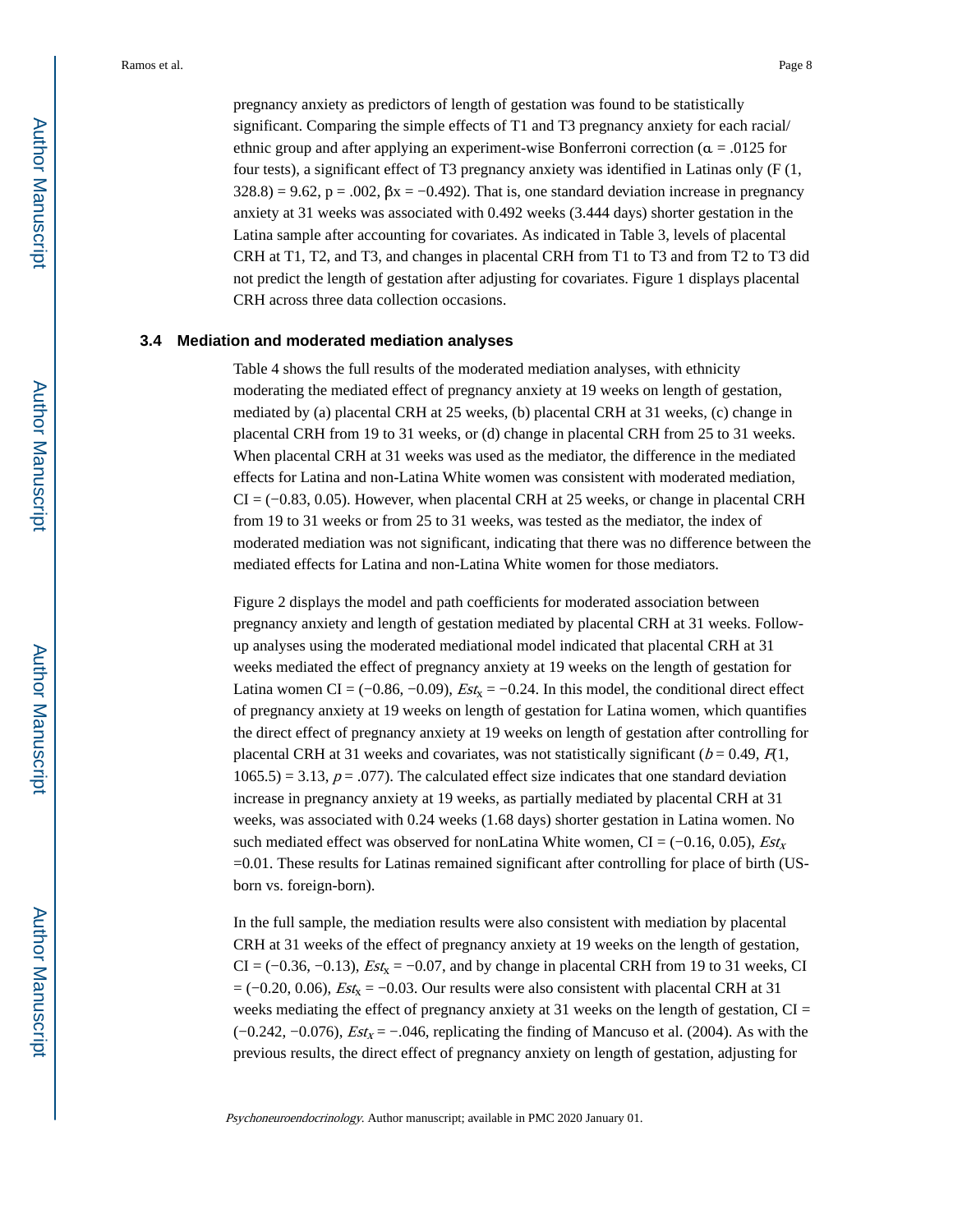pregnancy anxiety as predictors of length of gestation was found to be statistically significant. Comparing the simple effects of T1 and T3 pregnancy anxiety for each racial/ ethnic group and after applying an experiment-wise Bonferroni correction ( $\alpha$  = .0125 for four tests), a significant effect of T3 pregnancy anxiety was identified in Latinas only (F (1,  $328.8$ ) = 9.62, p = .002,  $\beta$ x = -0.492). That is, one standard deviation increase in pregnancy anxiety at 31 weeks was associated with 0.492 weeks (3.444 days) shorter gestation in the Latina sample after accounting for covariates. As indicated in Table 3, levels of placental CRH at T1, T2, and T3, and changes in placental CRH from T1 to T3 and from T2 to T3 did not predict the length of gestation after adjusting for covariates. Figure 1 displays placental CRH across three data collection occasions.

#### **3.4 Mediation and moderated mediation analyses**

Table 4 shows the full results of the moderated mediation analyses, with ethnicity moderating the mediated effect of pregnancy anxiety at 19 weeks on length of gestation, mediated by (a) placental CRH at 25 weeks, (b) placental CRH at 31 weeks, (c) change in placental CRH from 19 to 31 weeks, or (d) change in placental CRH from 25 to 31 weeks. When placental CRH at 31 weeks was used as the mediator, the difference in the mediated effects for Latina and non-Latina White women was consistent with moderated mediation, CI = (−0.83, 0.05). However, when placental CRH at 25 weeks, or change in placental CRH from 19 to 31 weeks or from 25 to 31 weeks, was tested as the mediator, the index of moderated mediation was not significant, indicating that there was no difference between the mediated effects for Latina and non-Latina White women for those mediators.

Figure 2 displays the model and path coefficients for moderated association between pregnancy anxiety and length of gestation mediated by placental CRH at 31 weeks. Followup analyses using the moderated mediational model indicated that placental CRH at 31 weeks mediated the effect of pregnancy anxiety at 19 weeks on the length of gestation for Latina women CI = (-0.86, -0.09),  $Est_x = -0.24$ . In this model, the conditional direct effect of pregnancy anxiety at 19 weeks on length of gestation for Latina women, which quantifies the direct effect of pregnancy anxiety at 19 weeks on length of gestation after controlling for placental CRH at 31 weeks and covariates, was not statistically significant ( $b = 0.49$ ,  $F(1)$ ,  $1065.5$ ) = 3.13,  $p = .077$ ). The calculated effect size indicates that one standard deviation increase in pregnancy anxiety at 19 weeks, as partially mediated by placental CRH at 31 weeks, was associated with 0.24 weeks (1.68 days) shorter gestation in Latina women. No such mediated effect was observed for nonLatina White women, CI = (-0.16, 0.05),  $Est_x$ =0.01. These results for Latinas remained significant after controlling for place of birth (USborn vs. foreign-born).

In the full sample, the mediation results were also consistent with mediation by placental CRH at 31 weeks of the effect of pregnancy anxiety at 19 weeks on the length of gestation, CI = (-0.36, -0.13),  $Est_x = -0.07$ , and by change in placental CRH from 19 to 31 weeks, CI  $= (-0.20, 0.06), \text{Est}_{x} = -0.03$ . Our results were also consistent with placental CRH at 31 weeks mediating the effect of pregnancy anxiety at 31 weeks on the length of gestation, CI =  $(-0.242, -0.076)$ ,  $Est_x = -.046$ , replicating the finding of Mancuso et al. (2004). As with the previous results, the direct effect of pregnancy anxiety on length of gestation, adjusting for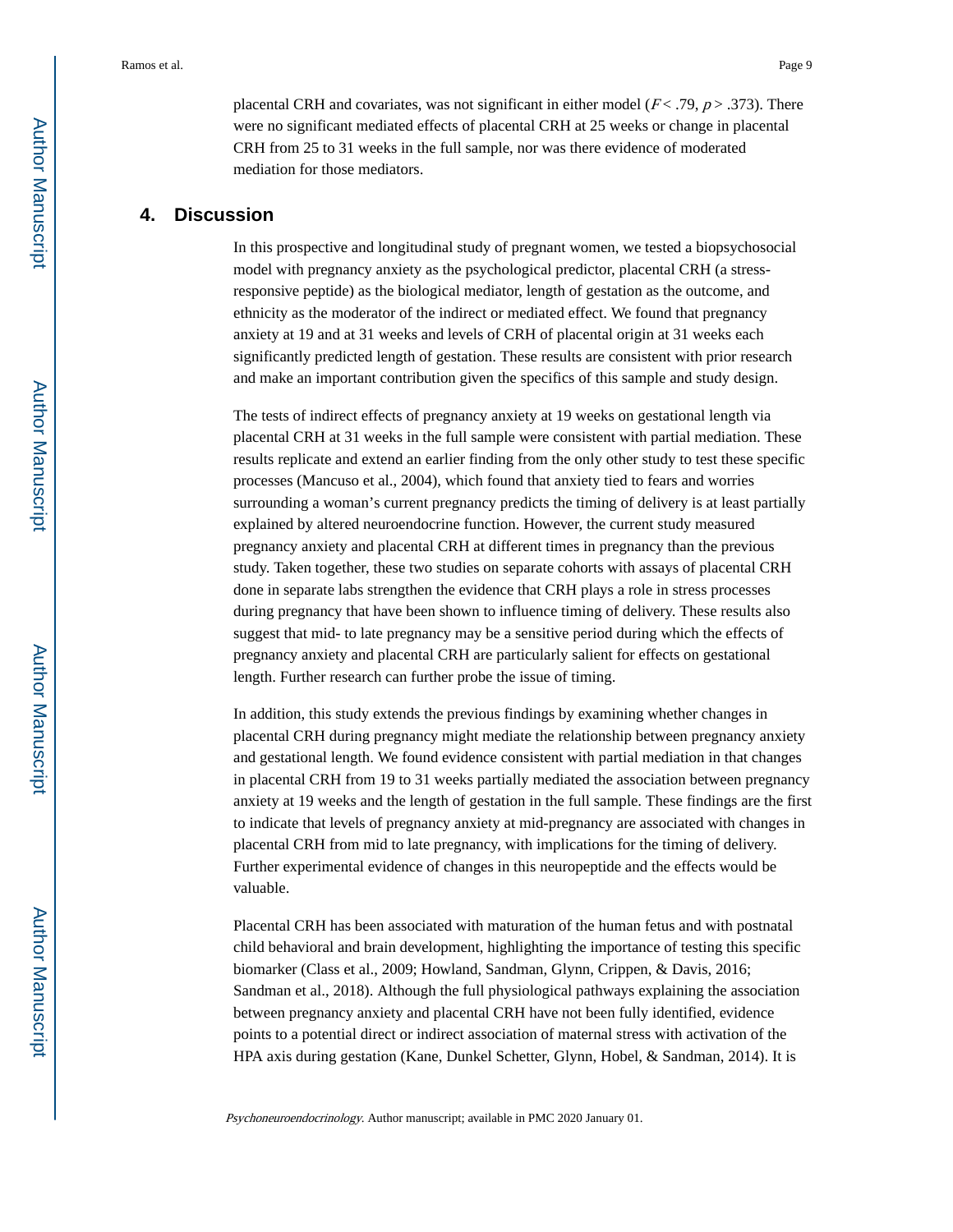placental CRH and covariates, was not significant in either model ( $F < .79$ ,  $p > .373$ ). There were no significant mediated effects of placental CRH at 25 weeks or change in placental CRH from 25 to 31 weeks in the full sample, nor was there evidence of moderated mediation for those mediators.

# **4. Discussion**

In this prospective and longitudinal study of pregnant women, we tested a biopsychosocial model with pregnancy anxiety as the psychological predictor, placental CRH (a stressresponsive peptide) as the biological mediator, length of gestation as the outcome, and ethnicity as the moderator of the indirect or mediated effect. We found that pregnancy anxiety at 19 and at 31 weeks and levels of CRH of placental origin at 31 weeks each significantly predicted length of gestation. These results are consistent with prior research and make an important contribution given the specifics of this sample and study design.

The tests of indirect effects of pregnancy anxiety at 19 weeks on gestational length via placental CRH at 31 weeks in the full sample were consistent with partial mediation. These results replicate and extend an earlier finding from the only other study to test these specific processes (Mancuso et al., 2004), which found that anxiety tied to fears and worries surrounding a woman's current pregnancy predicts the timing of delivery is at least partially explained by altered neuroendocrine function. However, the current study measured pregnancy anxiety and placental CRH at different times in pregnancy than the previous study. Taken together, these two studies on separate cohorts with assays of placental CRH done in separate labs strengthen the evidence that CRH plays a role in stress processes during pregnancy that have been shown to influence timing of delivery. These results also suggest that mid- to late pregnancy may be a sensitive period during which the effects of pregnancy anxiety and placental CRH are particularly salient for effects on gestational length. Further research can further probe the issue of timing.

In addition, this study extends the previous findings by examining whether changes in placental CRH during pregnancy might mediate the relationship between pregnancy anxiety and gestational length. We found evidence consistent with partial mediation in that changes in placental CRH from 19 to 31 weeks partially mediated the association between pregnancy anxiety at 19 weeks and the length of gestation in the full sample. These findings are the first to indicate that levels of pregnancy anxiety at mid-pregnancy are associated with changes in placental CRH from mid to late pregnancy, with implications for the timing of delivery. Further experimental evidence of changes in this neuropeptide and the effects would be valuable.

Placental CRH has been associated with maturation of the human fetus and with postnatal child behavioral and brain development, highlighting the importance of testing this specific biomarker (Class et al., 2009; Howland, Sandman, Glynn, Crippen, & Davis, 2016; Sandman et al., 2018). Although the full physiological pathways explaining the association between pregnancy anxiety and placental CRH have not been fully identified, evidence points to a potential direct or indirect association of maternal stress with activation of the HPA axis during gestation (Kane, Dunkel Schetter, Glynn, Hobel, & Sandman, 2014). It is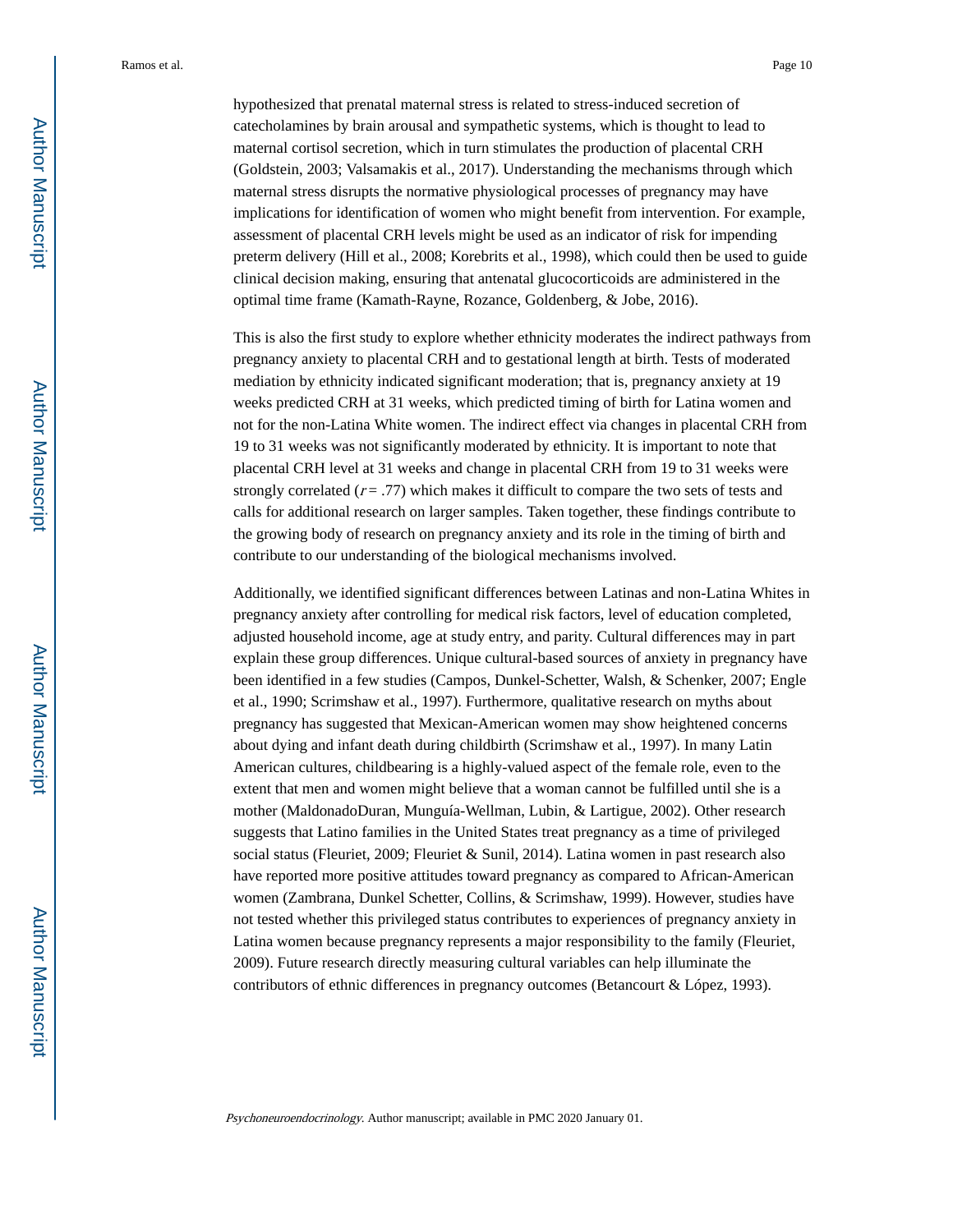hypothesized that prenatal maternal stress is related to stress-induced secretion of catecholamines by brain arousal and sympathetic systems, which is thought to lead to maternal cortisol secretion, which in turn stimulates the production of placental CRH (Goldstein, 2003; Valsamakis et al., 2017). Understanding the mechanisms through which maternal stress disrupts the normative physiological processes of pregnancy may have implications for identification of women who might benefit from intervention. For example, assessment of placental CRH levels might be used as an indicator of risk for impending preterm delivery (Hill et al., 2008; Korebrits et al., 1998), which could then be used to guide clinical decision making, ensuring that antenatal glucocorticoids are administered in the optimal time frame (Kamath-Rayne, Rozance, Goldenberg, & Jobe, 2016).

This is also the first study to explore whether ethnicity moderates the indirect pathways from pregnancy anxiety to placental CRH and to gestational length at birth. Tests of moderated mediation by ethnicity indicated significant moderation; that is, pregnancy anxiety at 19 weeks predicted CRH at 31 weeks, which predicted timing of birth for Latina women and not for the non-Latina White women. The indirect effect via changes in placental CRH from 19 to 31 weeks was not significantly moderated by ethnicity. It is important to note that placental CRH level at 31 weeks and change in placental CRH from 19 to 31 weeks were strongly correlated  $(r = .77)$  which makes it difficult to compare the two sets of tests and calls for additional research on larger samples. Taken together, these findings contribute to the growing body of research on pregnancy anxiety and its role in the timing of birth and contribute to our understanding of the biological mechanisms involved.

Additionally, we identified significant differences between Latinas and non-Latina Whites in pregnancy anxiety after controlling for medical risk factors, level of education completed, adjusted household income, age at study entry, and parity. Cultural differences may in part explain these group differences. Unique cultural-based sources of anxiety in pregnancy have been identified in a few studies (Campos, Dunkel-Schetter, Walsh, & Schenker, 2007; Engle et al., 1990; Scrimshaw et al., 1997). Furthermore, qualitative research on myths about pregnancy has suggested that Mexican-American women may show heightened concerns about dying and infant death during childbirth (Scrimshaw et al., 1997). In many Latin American cultures, childbearing is a highly-valued aspect of the female role, even to the extent that men and women might believe that a woman cannot be fulfilled until she is a mother (MaldonadoDuran, Munguía-Wellman, Lubin, & Lartigue, 2002). Other research suggests that Latino families in the United States treat pregnancy as a time of privileged social status (Fleuriet, 2009; Fleuriet & Sunil, 2014). Latina women in past research also have reported more positive attitudes toward pregnancy as compared to African-American women (Zambrana, Dunkel Schetter, Collins, & Scrimshaw, 1999). However, studies have not tested whether this privileged status contributes to experiences of pregnancy anxiety in Latina women because pregnancy represents a major responsibility to the family (Fleuriet, 2009). Future research directly measuring cultural variables can help illuminate the contributors of ethnic differences in pregnancy outcomes (Betancourt & López, 1993).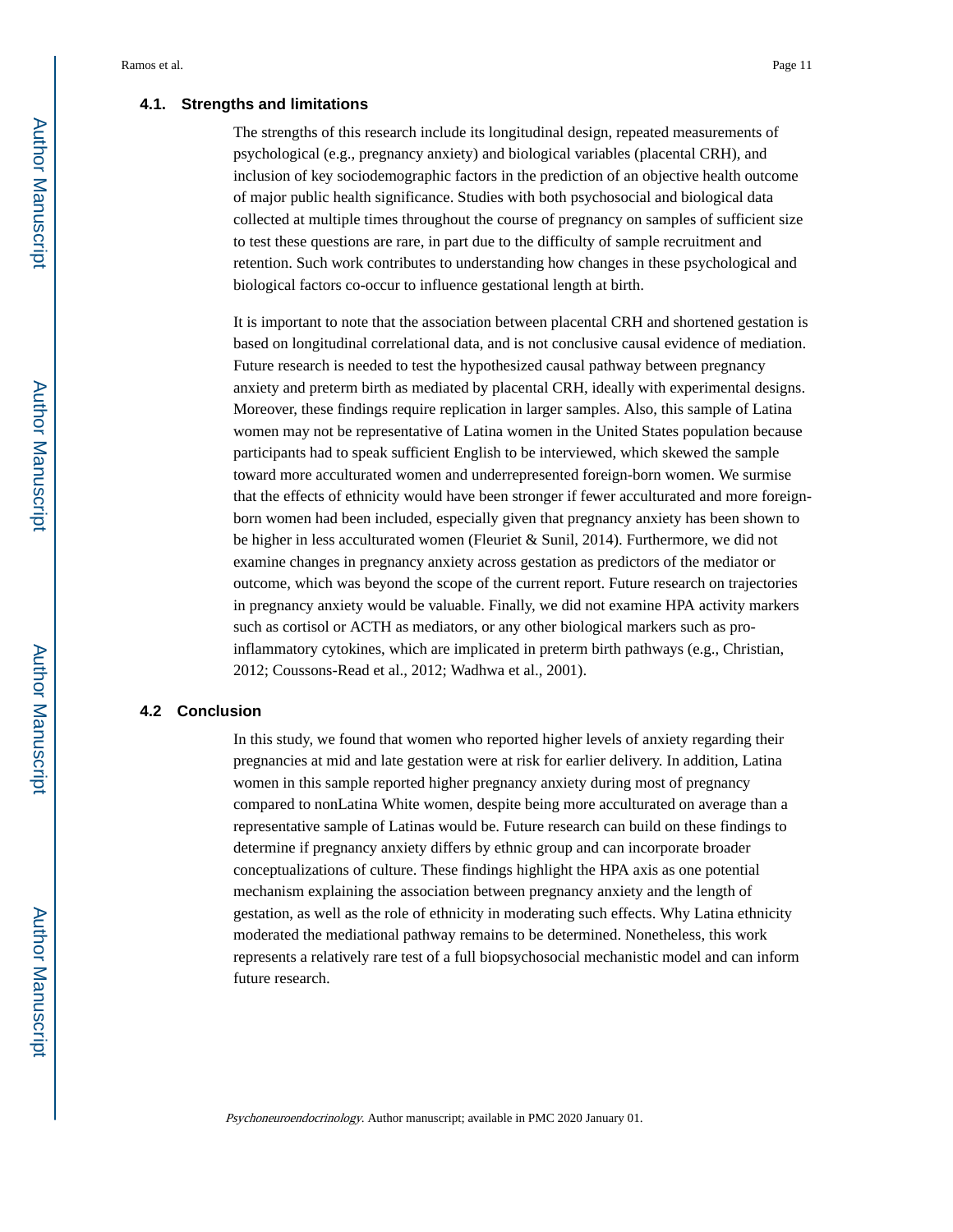#### **4.1. Strengths and limitations**

The strengths of this research include its longitudinal design, repeated measurements of psychological (e.g., pregnancy anxiety) and biological variables (placental CRH), and inclusion of key sociodemographic factors in the prediction of an objective health outcome of major public health significance. Studies with both psychosocial and biological data collected at multiple times throughout the course of pregnancy on samples of sufficient size to test these questions are rare, in part due to the difficulty of sample recruitment and retention. Such work contributes to understanding how changes in these psychological and biological factors co-occur to influence gestational length at birth.

It is important to note that the association between placental CRH and shortened gestation is based on longitudinal correlational data, and is not conclusive causal evidence of mediation. Future research is needed to test the hypothesized causal pathway between pregnancy anxiety and preterm birth as mediated by placental CRH, ideally with experimental designs. Moreover, these findings require replication in larger samples. Also, this sample of Latina women may not be representative of Latina women in the United States population because participants had to speak sufficient English to be interviewed, which skewed the sample toward more acculturated women and underrepresented foreign-born women. We surmise that the effects of ethnicity would have been stronger if fewer acculturated and more foreignborn women had been included, especially given that pregnancy anxiety has been shown to be higher in less acculturated women (Fleuriet & Sunil, 2014). Furthermore, we did not examine changes in pregnancy anxiety across gestation as predictors of the mediator or outcome, which was beyond the scope of the current report. Future research on trajectories in pregnancy anxiety would be valuable. Finally, we did not examine HPA activity markers such as cortisol or ACTH as mediators, or any other biological markers such as proinflammatory cytokines, which are implicated in preterm birth pathways (e.g., Christian, 2012; Coussons-Read et al., 2012; Wadhwa et al., 2001).

## **4.2 Conclusion**

In this study, we found that women who reported higher levels of anxiety regarding their pregnancies at mid and late gestation were at risk for earlier delivery. In addition, Latina women in this sample reported higher pregnancy anxiety during most of pregnancy compared to nonLatina White women, despite being more acculturated on average than a representative sample of Latinas would be. Future research can build on these findings to determine if pregnancy anxiety differs by ethnic group and can incorporate broader conceptualizations of culture. These findings highlight the HPA axis as one potential mechanism explaining the association between pregnancy anxiety and the length of gestation, as well as the role of ethnicity in moderating such effects. Why Latina ethnicity moderated the mediational pathway remains to be determined. Nonetheless, this work represents a relatively rare test of a full biopsychosocial mechanistic model and can inform future research.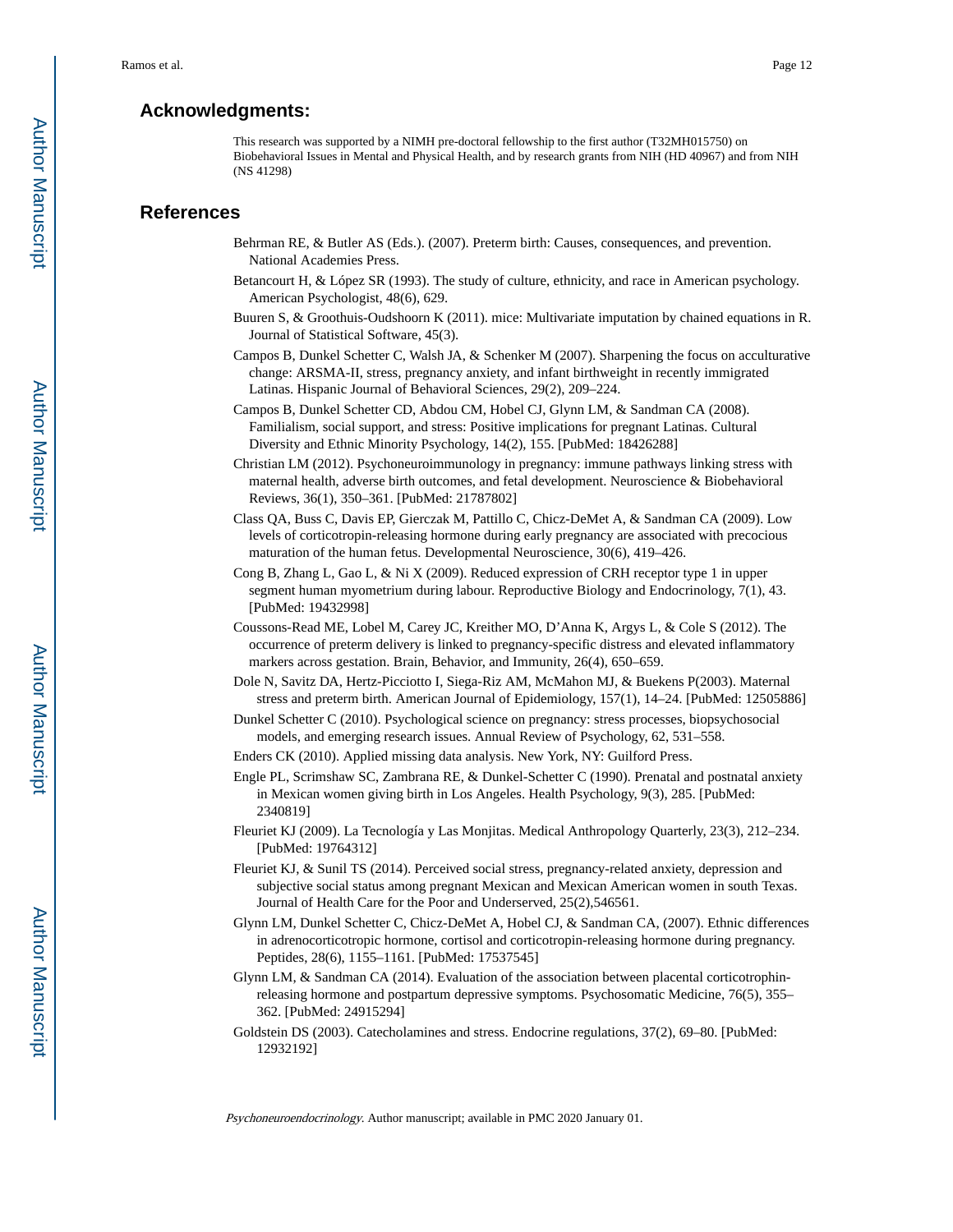# **Acknowledgments:**

This research was supported by a NIMH pre-doctoral fellowship to the first author (T32MH015750) on Biobehavioral Issues in Mental and Physical Health, and by research grants from NIH (HD 40967) and from NIH (NS 41298)

## **References**

- Behrman RE, & Butler AS (Eds.). (2007). Preterm birth: Causes, consequences, and prevention. National Academies Press.
- Betancourt H, & López SR (1993). The study of culture, ethnicity, and race in American psychology. American Psychologist, 48(6), 629.
- Buuren S, & Groothuis-Oudshoorn K (2011). mice: Multivariate imputation by chained equations in R. Journal of Statistical Software, 45(3).
- Campos B, Dunkel Schetter C, Walsh JA, & Schenker M (2007). Sharpening the focus on acculturative change: ARSMA-II, stress, pregnancy anxiety, and infant birthweight in recently immigrated Latinas. Hispanic Journal of Behavioral Sciences, 29(2), 209–224.
- Campos B, Dunkel Schetter CD, Abdou CM, Hobel CJ, Glynn LM, & Sandman CA (2008). Familialism, social support, and stress: Positive implications for pregnant Latinas. Cultural Diversity and Ethnic Minority Psychology, 14(2), 155. [PubMed: 18426288]
- Christian LM (2012). Psychoneuroimmunology in pregnancy: immune pathways linking stress with maternal health, adverse birth outcomes, and fetal development. Neuroscience & Biobehavioral Reviews, 36(1), 350–361. [PubMed: 21787802]
- Class QA, Buss C, Davis EP, Gierczak M, Pattillo C, Chicz-DeMet A, & Sandman CA (2009). Low levels of corticotropin-releasing hormone during early pregnancy are associated with precocious maturation of the human fetus. Developmental Neuroscience, 30(6), 419–426.
- Cong B, Zhang L, Gao L, & Ni X (2009). Reduced expression of CRH receptor type 1 in upper segment human myometrium during labour. Reproductive Biology and Endocrinology, 7(1), 43. [PubMed: 19432998]
- Coussons-Read ME, Lobel M, Carey JC, Kreither MO, D'Anna K, Argys L, & Cole S (2012). The occurrence of preterm delivery is linked to pregnancy-specific distress and elevated inflammatory markers across gestation. Brain, Behavior, and Immunity, 26(4), 650–659.
- Dole N, Savitz DA, Hertz-Picciotto I, Siega-Riz AM, McMahon MJ, & Buekens P(2003). Maternal stress and preterm birth. American Journal of Epidemiology, 157(1), 14–24. [PubMed: 12505886]
- Dunkel Schetter C (2010). Psychological science on pregnancy: stress processes, biopsychosocial models, and emerging research issues. Annual Review of Psychology, 62, 531–558.
- Enders CK (2010). Applied missing data analysis. New York, NY: Guilford Press.
- Engle PL, Scrimshaw SC, Zambrana RE, & Dunkel-Schetter C (1990). Prenatal and postnatal anxiety in Mexican women giving birth in Los Angeles. Health Psychology, 9(3), 285. [PubMed: 2340819]
- Fleuriet KJ (2009). La Tecnología y Las Monjitas. Medical Anthropology Quarterly, 23(3), 212–234. [PubMed: 19764312]
- Fleuriet KJ, & Sunil TS (2014). Perceived social stress, pregnancy-related anxiety, depression and subjective social status among pregnant Mexican and Mexican American women in south Texas. Journal of Health Care for the Poor and Underserved, 25(2),546561.
- Glynn LM, Dunkel Schetter C, Chicz-DeMet A, Hobel CJ, & Sandman CA, (2007). Ethnic differences in adrenocorticotropic hormone, cortisol and corticotropin-releasing hormone during pregnancy. Peptides, 28(6), 1155–1161. [PubMed: 17537545]
- Glynn LM, & Sandman CA (2014). Evaluation of the association between placental corticotrophinreleasing hormone and postpartum depressive symptoms. Psychosomatic Medicine, 76(5), 355– 362. [PubMed: 24915294]
- Goldstein DS (2003). Catecholamines and stress. Endocrine regulations, 37(2), 69–80. [PubMed: 12932192]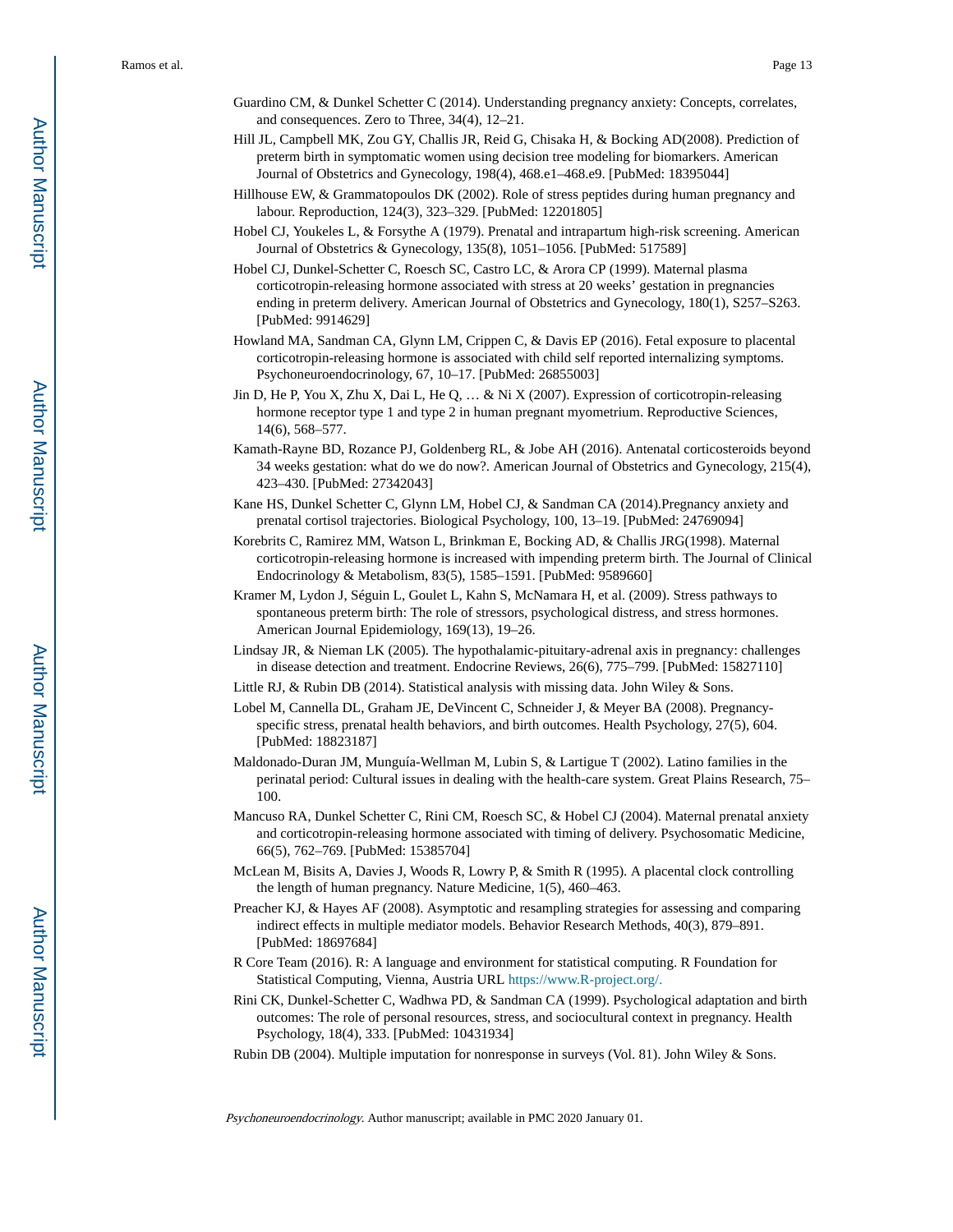- Guardino CM, & Dunkel Schetter C (2014). Understanding pregnancy anxiety: Concepts, correlates, and consequences. Zero to Three, 34(4), 12–21.
- Hill JL, Campbell MK, Zou GY, Challis JR, Reid G, Chisaka H, & Bocking AD(2008). Prediction of preterm birth in symptomatic women using decision tree modeling for biomarkers. American Journal of Obstetrics and Gynecology, 198(4), 468.e1–468.e9. [PubMed: 18395044]
- Hillhouse EW, & Grammatopoulos DK (2002). Role of stress peptides during human pregnancy and labour. Reproduction, 124(3), 323–329. [PubMed: 12201805]
- Hobel CJ, Youkeles L, & Forsythe A (1979). Prenatal and intrapartum high-risk screening. American Journal of Obstetrics & Gynecology, 135(8), 1051–1056. [PubMed: 517589]
- Hobel CJ, Dunkel-Schetter C, Roesch SC, Castro LC, & Arora CP (1999). Maternal plasma corticotropin-releasing hormone associated with stress at 20 weeks' gestation in pregnancies ending in preterm delivery. American Journal of Obstetrics and Gynecology, 180(1), S257–S263. [PubMed: 9914629]
- Howland MA, Sandman CA, Glynn LM, Crippen C, & Davis EP (2016). Fetal exposure to placental corticotropin-releasing hormone is associated with child self reported internalizing symptoms. Psychoneuroendocrinology, 67, 10–17. [PubMed: 26855003]
- Jin D, He P, You X, Zhu X, Dai L, He Q, … & Ni X (2007). Expression of corticotropin-releasing hormone receptor type 1 and type 2 in human pregnant myometrium. Reproductive Sciences, 14(6), 568–577.
- Kamath-Rayne BD, Rozance PJ, Goldenberg RL, & Jobe AH (2016). Antenatal corticosteroids beyond 34 weeks gestation: what do we do now?. American Journal of Obstetrics and Gynecology, 215(4), 423–430. [PubMed: 27342043]
- Kane HS, Dunkel Schetter C, Glynn LM, Hobel CJ, & Sandman CA (2014).Pregnancy anxiety and prenatal cortisol trajectories. Biological Psychology, 100, 13–19. [PubMed: 24769094]
- Korebrits C, Ramirez MM, Watson L, Brinkman E, Bocking AD, & Challis JRG(1998). Maternal corticotropin-releasing hormone is increased with impending preterm birth. The Journal of Clinical Endocrinology & Metabolism, 83(5), 1585–1591. [PubMed: 9589660]
- Kramer M, Lydon J, Séguin L, Goulet L, Kahn S, McNamara H, et al. (2009). Stress pathways to spontaneous preterm birth: The role of stressors, psychological distress, and stress hormones. American Journal Epidemiology, 169(13), 19–26.
- Lindsay JR, & Nieman LK (2005). The hypothalamic-pituitary-adrenal axis in pregnancy: challenges in disease detection and treatment. Endocrine Reviews, 26(6), 775–799. [PubMed: 15827110]
- Little RJ, & Rubin DB (2014). Statistical analysis with missing data. John Wiley & Sons.
- Lobel M, Cannella DL, Graham JE, DeVincent C, Schneider J, & Meyer BA (2008). Pregnancyspecific stress, prenatal health behaviors, and birth outcomes. Health Psychology, 27(5), 604. [PubMed: 18823187]
- Maldonado-Duran JM, Munguía-Wellman M, Lubin S, & Lartigue T (2002). Latino families in the perinatal period: Cultural issues in dealing with the health-care system. Great Plains Research, 75– 100.
- Mancuso RA, Dunkel Schetter C, Rini CM, Roesch SC, & Hobel CJ (2004). Maternal prenatal anxiety and corticotropin-releasing hormone associated with timing of delivery. Psychosomatic Medicine, 66(5), 762–769. [PubMed: 15385704]
- McLean M, Bisits A, Davies J, Woods R, Lowry P, & Smith R (1995). A placental clock controlling the length of human pregnancy. Nature Medicine, 1(5), 460–463.
- Preacher KJ, & Hayes AF (2008). Asymptotic and resampling strategies for assessing and comparing indirect effects in multiple mediator models. Behavior Research Methods, 40(3), 879–891. [PubMed: 18697684]
- R Core Team (2016). R: A language and environment for statistical computing. R Foundation for Statistical Computing, Vienna, Austria URL [https://www.R-project.org/.](http://www.R-project.org/.)
- Rini CK, Dunkel-Schetter C, Wadhwa PD, & Sandman CA (1999). Psychological adaptation and birth outcomes: The role of personal resources, stress, and sociocultural context in pregnancy. Health Psychology, 18(4), 333. [PubMed: 10431934]
- Rubin DB (2004). Multiple imputation for nonresponse in surveys (Vol. 81). John Wiley & Sons.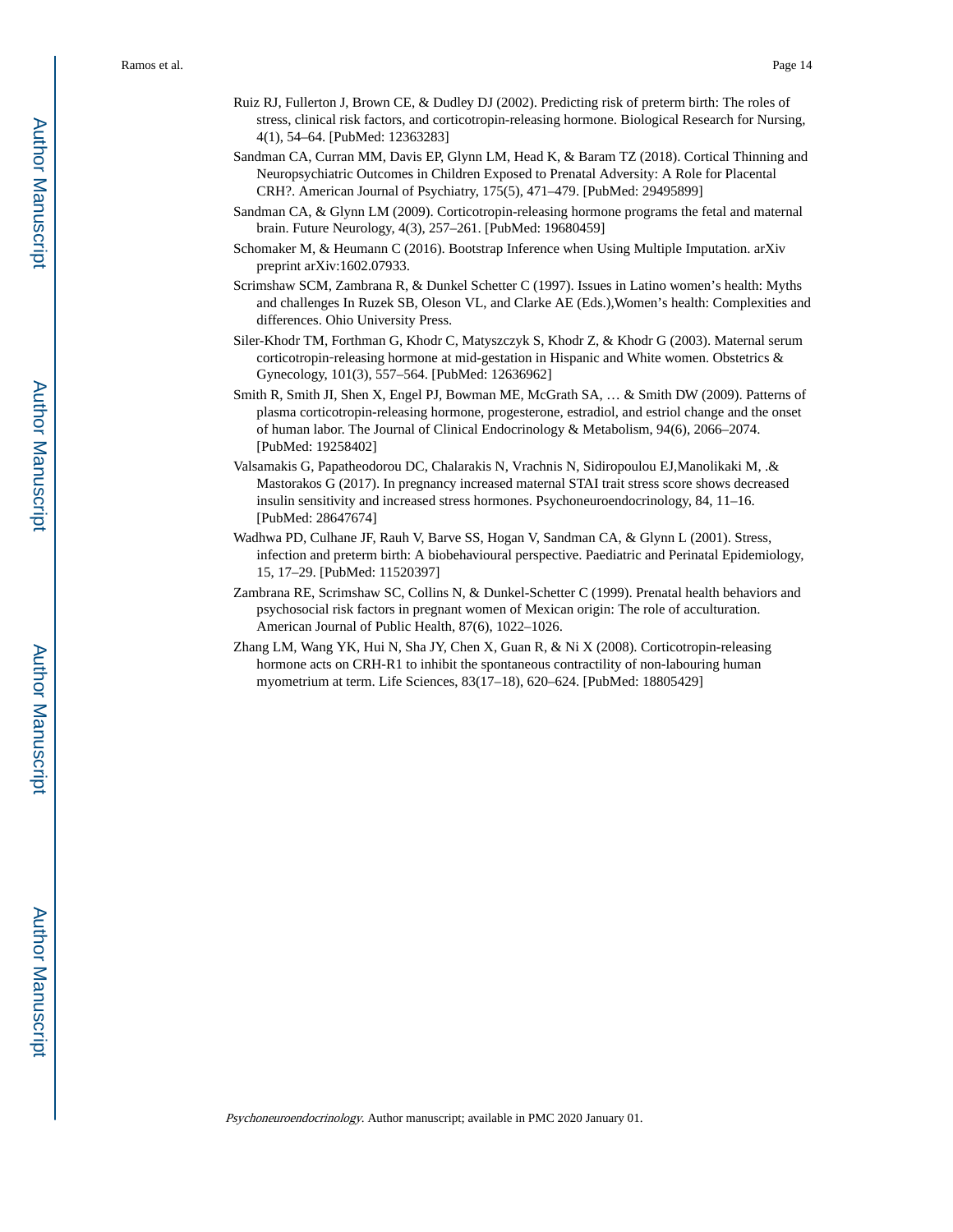- Ruiz RJ, Fullerton J, Brown CE, & Dudley DJ (2002). Predicting risk of preterm birth: The roles of stress, clinical risk factors, and corticotropin-releasing hormone. Biological Research for Nursing, 4(1), 54–64. [PubMed: 12363283]
- Sandman CA, Curran MM, Davis EP, Glynn LM, Head K, & Baram TZ (2018). Cortical Thinning and Neuropsychiatric Outcomes in Children Exposed to Prenatal Adversity: A Role for Placental CRH?. American Journal of Psychiatry, 175(5), 471–479. [PubMed: 29495899]
- Sandman CA, & Glynn LM (2009). Corticotropin-releasing hormone programs the fetal and maternal brain. Future Neurology, 4(3), 257–261. [PubMed: 19680459]
- Schomaker M, & Heumann C (2016). Bootstrap Inference when Using Multiple Imputation. arXiv preprint arXiv:1602.07933.
- Scrimshaw SCM, Zambrana R, & Dunkel Schetter C (1997). Issues in Latino women's health: Myths and challenges In Ruzek SB, Oleson VL, and Clarke AE (Eds.),Women's health: Complexities and differences. Ohio University Press.
- Siler-Khodr TM, Forthman G, Khodr C, Matyszczyk S, Khodr Z, & Khodr G (2003). Maternal serum corticotropin-releasing hormone at mid-gestation in Hispanic and White women. Obstetrics & Gynecology, 101(3), 557–564. [PubMed: 12636962]
- Smith R, Smith JI, Shen X, Engel PJ, Bowman ME, McGrath SA, … & Smith DW (2009). Patterns of plasma corticotropin-releasing hormone, progesterone, estradiol, and estriol change and the onset of human labor. The Journal of Clinical Endocrinology & Metabolism, 94(6), 2066–2074. [PubMed: 19258402]
- Valsamakis G, Papatheodorou DC, Chalarakis N, Vrachnis N, Sidiropoulou EJ,Manolikaki M, .& Mastorakos G (2017). In pregnancy increased maternal STAI trait stress score shows decreased insulin sensitivity and increased stress hormones. Psychoneuroendocrinology, 84, 11–16. [PubMed: 28647674]
- Wadhwa PD, Culhane JF, Rauh V, Barve SS, Hogan V, Sandman CA, & Glynn L (2001). Stress, infection and preterm birth: A biobehavioural perspective. Paediatric and Perinatal Epidemiology, 15, 17–29. [PubMed: 11520397]
- Zambrana RE, Scrimshaw SC, Collins N, & Dunkel-Schetter C (1999). Prenatal health behaviors and psychosocial risk factors in pregnant women of Mexican origin: The role of acculturation. American Journal of Public Health, 87(6), 1022–1026.
- Zhang LM, Wang YK, Hui N, Sha JY, Chen X, Guan R, & Ni X (2008). Corticotropin-releasing hormone acts on CRH-R1 to inhibit the spontaneous contractility of non-labouring human myometrium at term. Life Sciences, 83(17–18), 620–624. [PubMed: 18805429]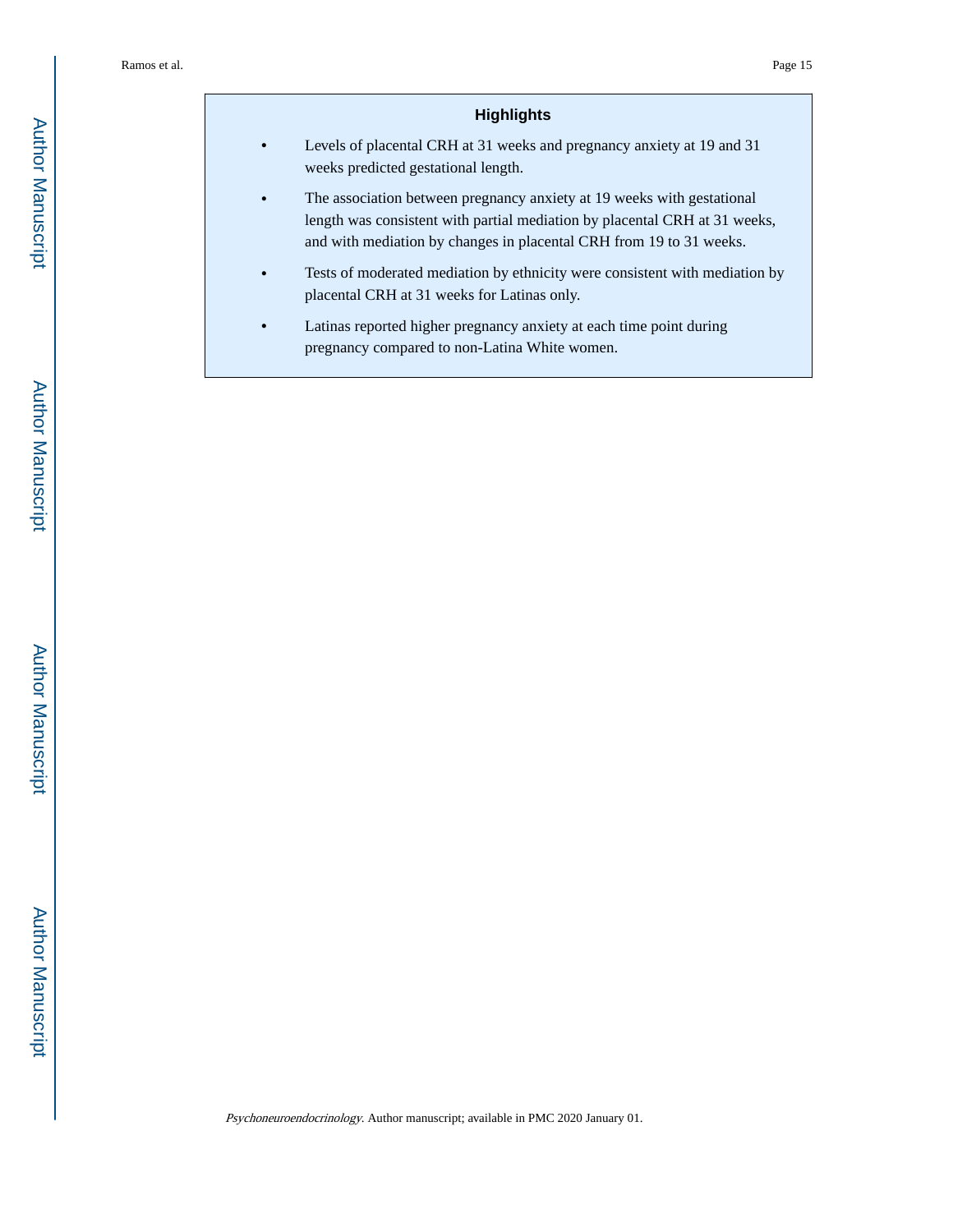## **Highlights**

- **•** Levels of placental CRH at 31 weeks and pregnancy anxiety at 19 and 31 weeks predicted gestational length.
- The association between pregnancy anxiety at 19 weeks with gestational length was consistent with partial mediation by placental CRH at 31 weeks, and with mediation by changes in placental CRH from 19 to 31 weeks.
- **•** Tests of moderated mediation by ethnicity were consistent with mediation by placental CRH at 31 weeks for Latinas only.
- **•** Latinas reported higher pregnancy anxiety at each time point during pregnancy compared to non-Latina White women.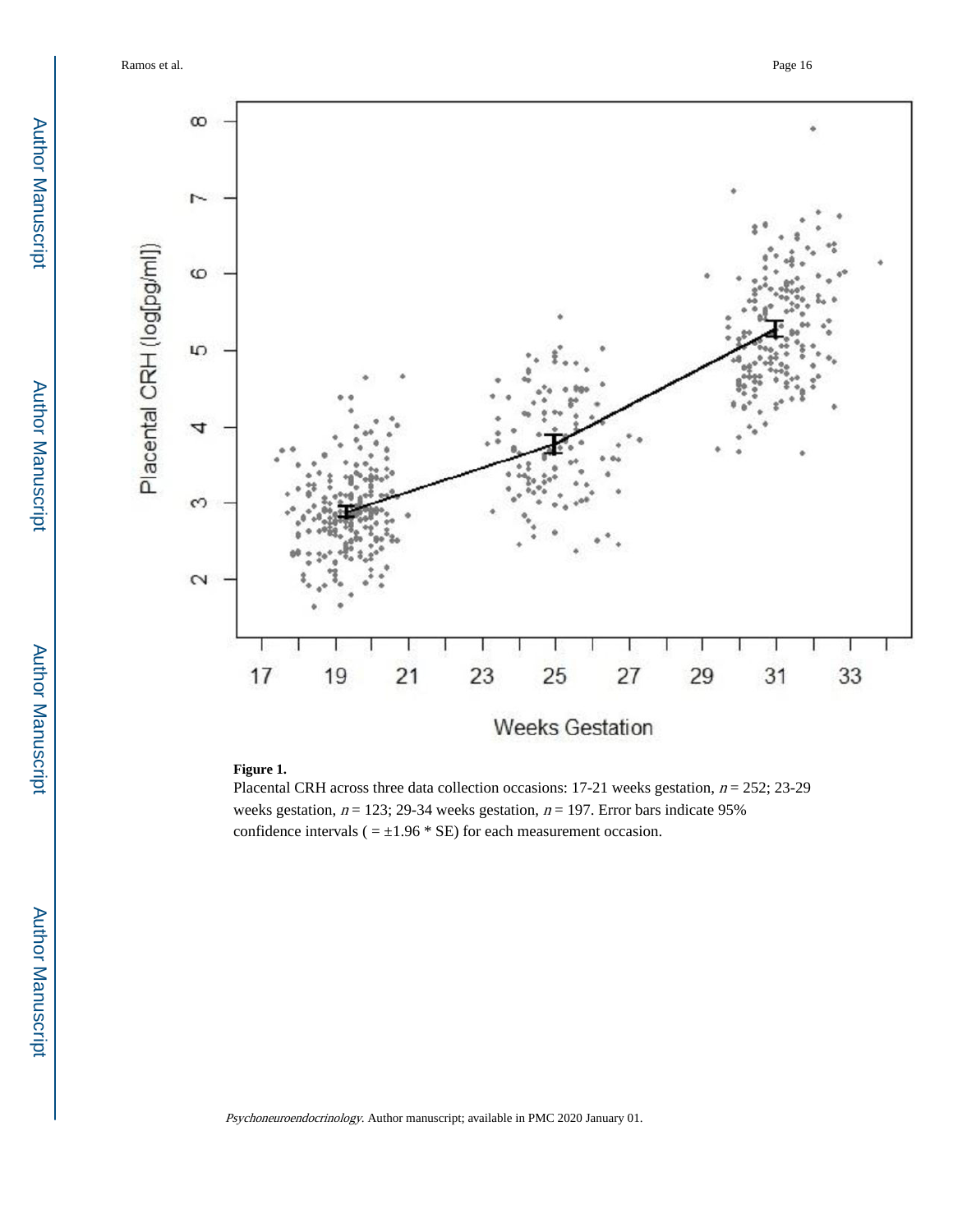Ramos et al. Page 16



# **Figure 1.**

Placental CRH across three data collection occasions: 17-21 weeks gestation,  $n = 252$ ; 23-29 weeks gestation,  $n = 123$ ; 29-34 weeks gestation,  $n = 197$ . Error bars indicate 95% confidence intervals ( $= \pm 1.96 * SE$ ) for each measurement occasion.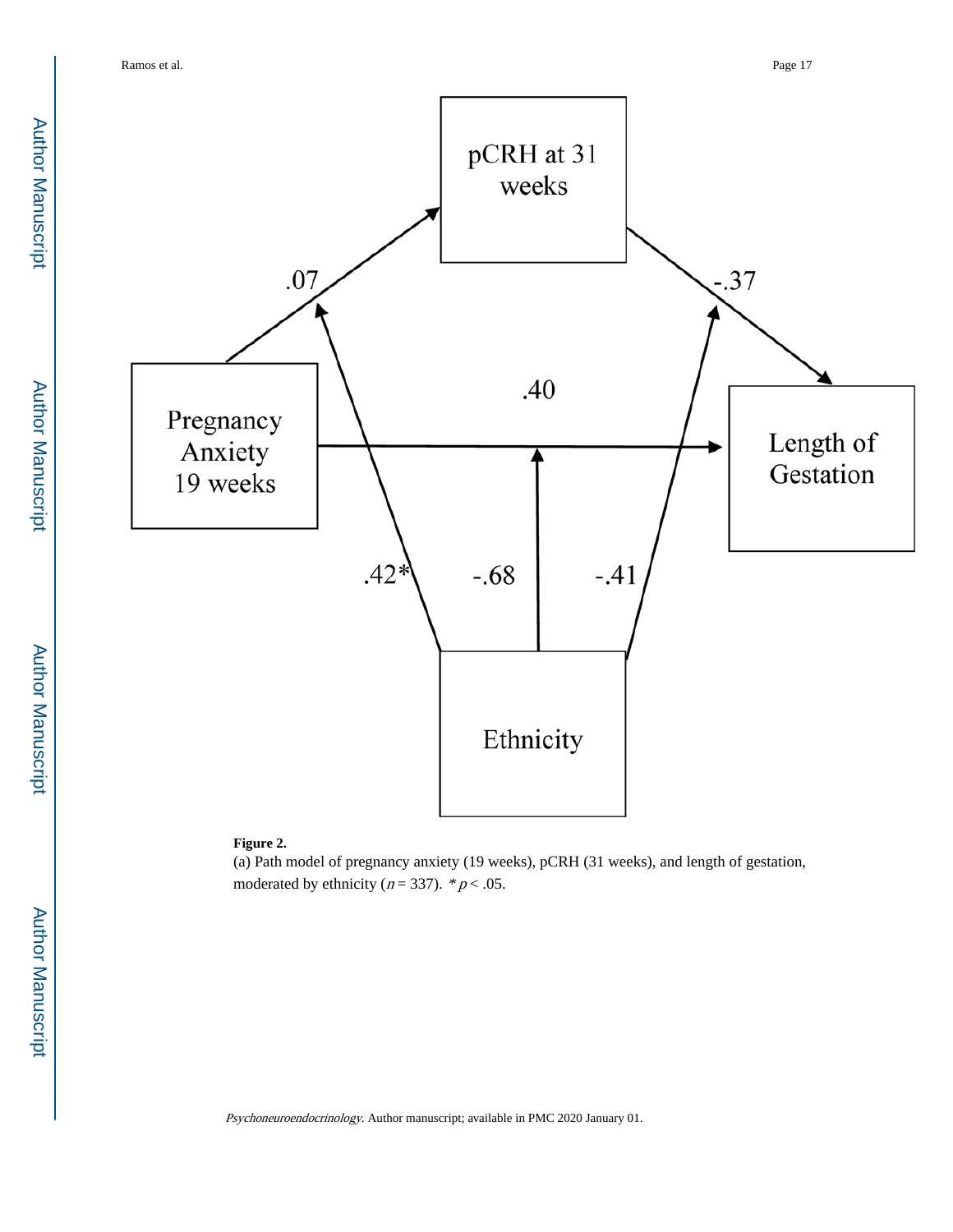

#### **Figure 2.**

(a) Path model of pregnancy anxiety (19 weeks), pCRH (31 weeks), and length of gestation, moderated by ethnicity ( $n = 337$ ). \*  $p < .05$ .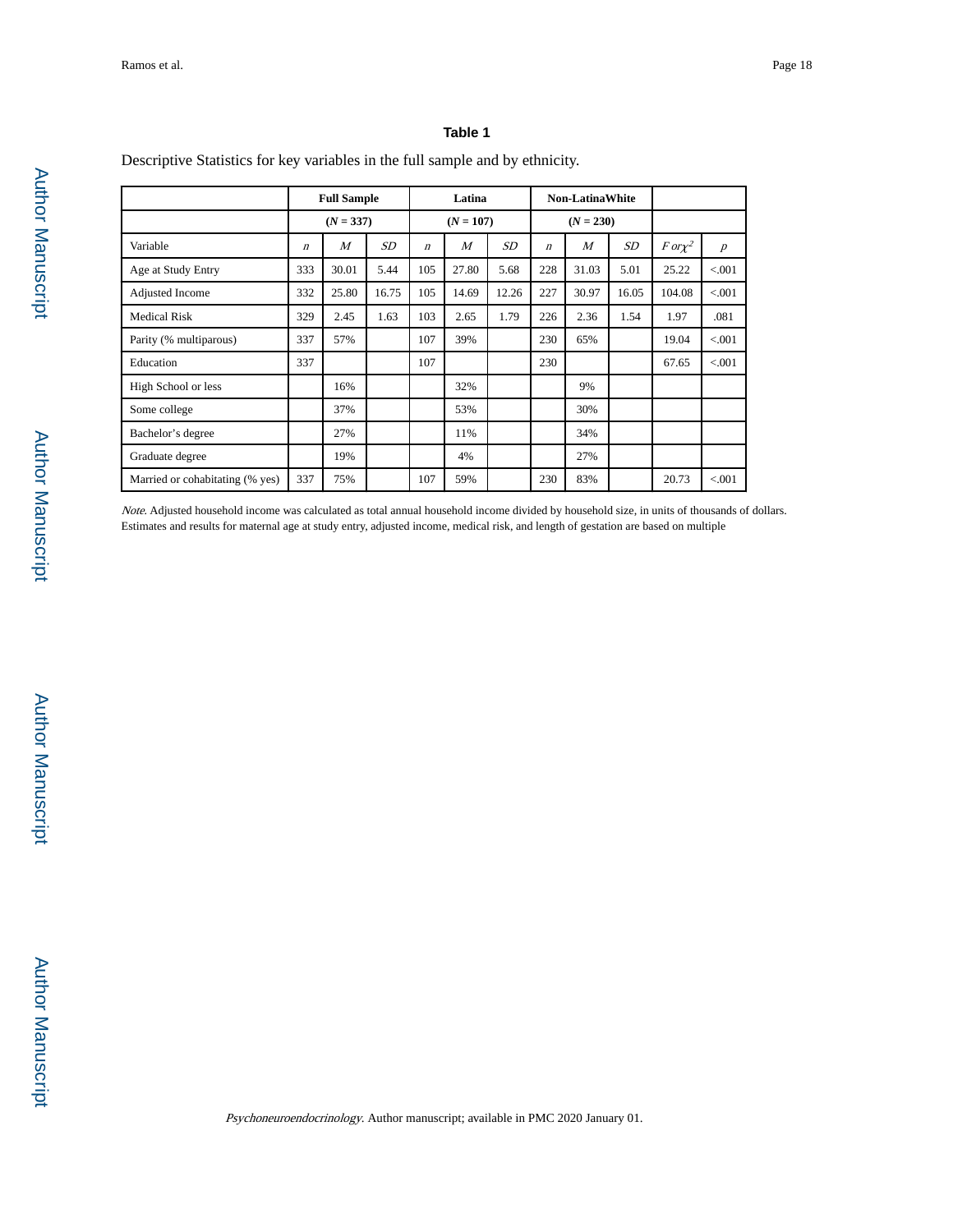#### **Table 1**

Descriptive Statistics for key variables in the full sample and by ethnicity.

|                                 |                  | <b>Full Sample</b> |       |                  | Latina         |       |                  | <b>Non-LatinaWhite</b> |       |              |                  |
|---------------------------------|------------------|--------------------|-------|------------------|----------------|-------|------------------|------------------------|-------|--------------|------------------|
|                                 |                  | $(N = 337)$        |       |                  | $(N = 107)$    |       |                  | $(N = 230)$            |       |              |                  |
| Variable                        | $\boldsymbol{n}$ | $\overline{M}$     | SD    | $\boldsymbol{n}$ | $\overline{M}$ | SD    | $\boldsymbol{n}$ | $\boldsymbol{M}$       | SD    | $For \chi^2$ | $\boldsymbol{p}$ |
| Age at Study Entry              | 333              | 30.01              | 5.44  | 105              | 27.80          | 5.68  | 228              | 31.03                  | 5.01  | 25.22        | < 0.001          |
| Adjusted Income                 | 332              | 25.80              | 16.75 | 105              | 14.69          | 12.26 | 227              | 30.97                  | 16.05 | 104.08       | < 0.001          |
| <b>Medical Risk</b>             | 329              | 2.45               | 1.63  | 103              | 2.65           | 1.79  | 226              | 2.36                   | 1.54  | 1.97         | .081             |
| Parity (% multiparous)          | 337              | 57%                |       | 107              | 39%            |       | 230              | 65%                    |       | 19.04        | < 0.001          |
| Education                       | 337              |                    |       | 107              |                |       | 230              |                        |       | 67.65        | < 0.001          |
| High School or less             |                  | 16%                |       |                  | 32%            |       |                  | 9%                     |       |              |                  |
| Some college                    |                  | 37%                |       |                  | 53%            |       |                  | 30%                    |       |              |                  |
| Bachelor's degree               |                  | 27%                |       |                  | 11%            |       |                  | 34%                    |       |              |                  |
| Graduate degree                 |                  | 19%                |       |                  | 4%             |       |                  | 27%                    |       |              |                  |
| Married or cohabitating (% yes) | 337              | 75%                |       | 107              | 59%            |       | 230              | 83%                    |       | 20.73        | < 0.001          |

Note. Adjusted household income was calculated as total annual household income divided by household size, in units of thousands of dollars. Estimates and results for maternal age at study entry, adjusted income, medical risk, and length of gestation are based on multiple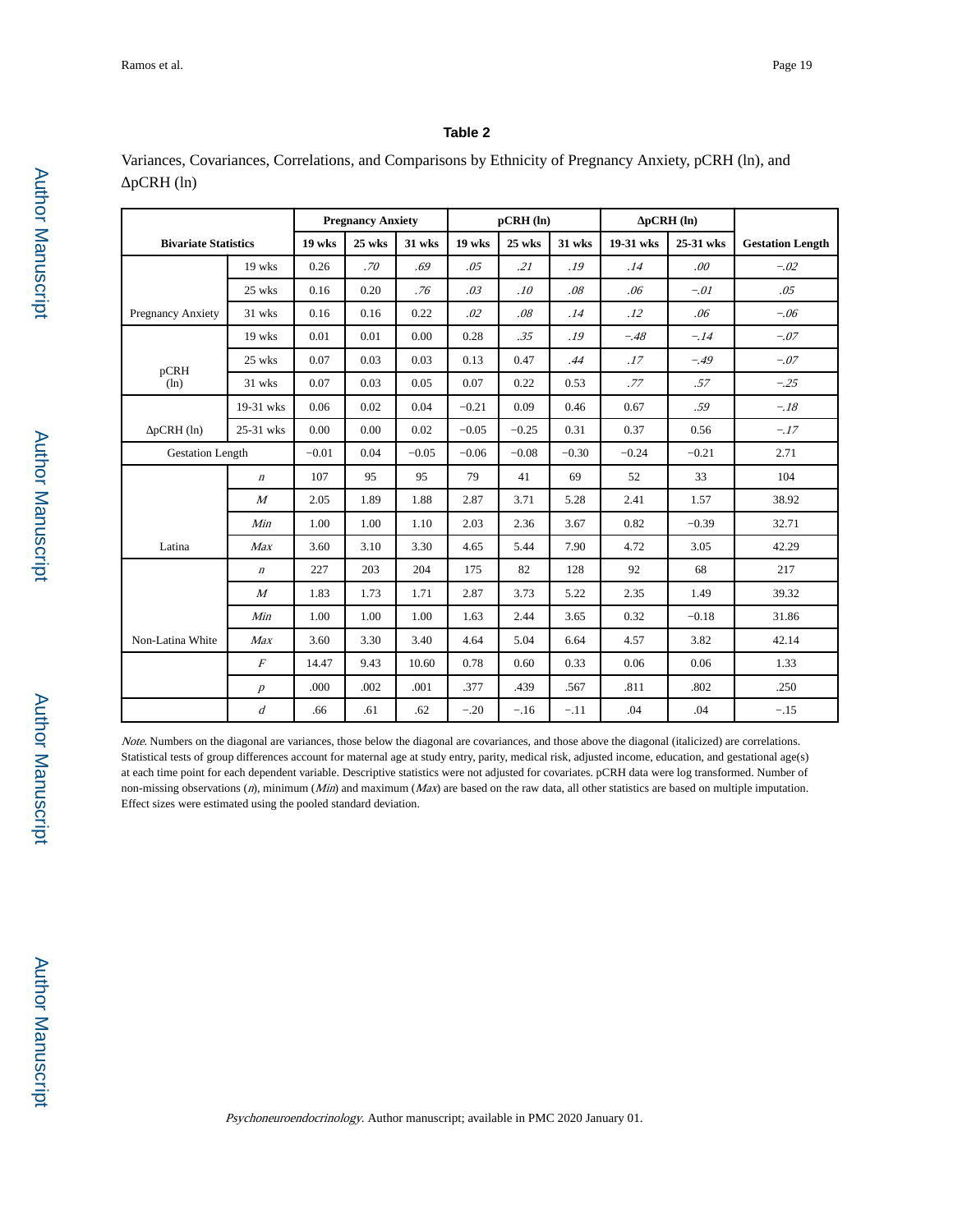#### **Table 2**

Variances, Covariances, Correlations, and Comparisons by Ethnicity of Pregnancy Anxiety, pCRH (ln), and pCRH (ln)

|                             |                  |         | <b>Pregnancy Anxiety</b> |         |         | $pCRH$ $(ln)$ |         |           | $pCRH$ $(ln)$ |                         |
|-----------------------------|------------------|---------|--------------------------|---------|---------|---------------|---------|-----------|---------------|-------------------------|
| <b>Bivariate Statistics</b> |                  | 19 wks  | 25 wks                   | 31 wks  | 19 wks  | 25 wks        | 31 wks  | 19-31 wks | 25-31 wks     | <b>Gestation Length</b> |
|                             | 19 wks           | 0.26    | .70                      | .69     | .05     | .21           | .19     | .14       | .00.          | $-.02$                  |
|                             | 25 wks           | 0.16    | 0.20                     | .76     | .03     | .10           | .08     | .06       | $-.01$        | .05                     |
| Pregnancy Anxiety           | 31 wks           | 0.16    | 0.16                     | 0.22    | .02     | .08           | .14     | .12       | .06           | $-.06$                  |
|                             | 19 wks           | 0.01    | 0.01                     | 0.00    | 0.28    | .35           | .19     | $-.48$    | $-.14$        | $-.07$                  |
| pCRH                        | 25 wks           | 0.07    | 0.03                     | 0.03    | 0.13    | 0.47          | .44     | .17       | $-.49$        | $-.07$                  |
| (ln)                        | 31 wks           | 0.07    | 0.03                     | 0.05    | 0.07    | 0.22          | 0.53    | .77       | .57           | $-.25$                  |
|                             | 19-31 wks        | 0.06    | 0.02                     | 0.04    | $-0.21$ | 0.09          | 0.46    | 0.67      | .59           | $-.18$                  |
| $pCRH$ $(ln)$               | 25-31 wks        | 0.00    | 0.00                     | 0.02    | $-0.05$ | $-0.25$       | 0.31    | 0.37      | 0.56          | $-.17$                  |
| <b>Gestation Length</b>     |                  | $-0.01$ | 0.04                     | $-0.05$ | $-0.06$ | $-0.08$       | $-0.30$ | $-0.24$   | $-0.21$       | 2.71                    |
|                             | $\boldsymbol{n}$ | 107     | 95                       | 95      | 79      | 41            | 69      | 52        | 33            | 104                     |
|                             | $\overline{M}$   | 2.05    | 1.89                     | 1.88    | 2.87    | 3.71          | 5.28    | 2.41      | 1.57          | 38.92                   |
|                             | Min              | 1.00    | 1.00                     | 1.10    | 2.03    | 2.36          | 3.67    | 0.82      | $-0.39$       | 32.71                   |
| Latina                      | Max              | 3.60    | 3.10                     | 3.30    | 4.65    | 5.44          | 7.90    | 4.72      | 3.05          | 42.29                   |
|                             | $\boldsymbol{n}$ | 227     | 203                      | 204     | 175     | 82            | 128     | 92        | 68            | 217                     |
|                             | $\boldsymbol{M}$ | 1.83    | 1.73                     | 1.71    | 2.87    | 3.73          | 5.22    | 2.35      | 1.49          | 39.32                   |
|                             | Min              | 1.00    | 1.00                     | 1.00    | 1.63    | 2.44          | 3.65    | 0.32      | $-0.18$       | 31.86                   |
| Non-Latina White            | Max              | 3.60    | 3.30                     | 3.40    | 4.64    | 5.04          | 6.64    | 4.57      | 3.82          | 42.14                   |
|                             | $\cal F$         | 14.47   | 9.43                     | 10.60   | 0.78    | 0.60          | 0.33    | 0.06      | 0.06          | 1.33                    |
|                             | $\boldsymbol{p}$ | .000    | .002                     | .001    | .377    | .439          | .567    | .811      | .802          | .250                    |
|                             | $\overline{d}$   | .66     | .61                      | .62     | $-.20$  | $-.16$        | $-.11$  | .04       | .04           | $-.15$                  |

Note. Numbers on the diagonal are variances, those below the diagonal are covariances, and those above the diagonal (italicized) are correlations. Statistical tests of group differences account for maternal age at study entry, parity, medical risk, adjusted income, education, and gestational age(s) at each time point for each dependent variable. Descriptive statistics were not adjusted for covariates. pCRH data were log transformed. Number of non-missing observations (n), minimum (Min) and maximum (Max) are based on the raw data, all other statistics are based on multiple imputation. Effect sizes were estimated using the pooled standard deviation.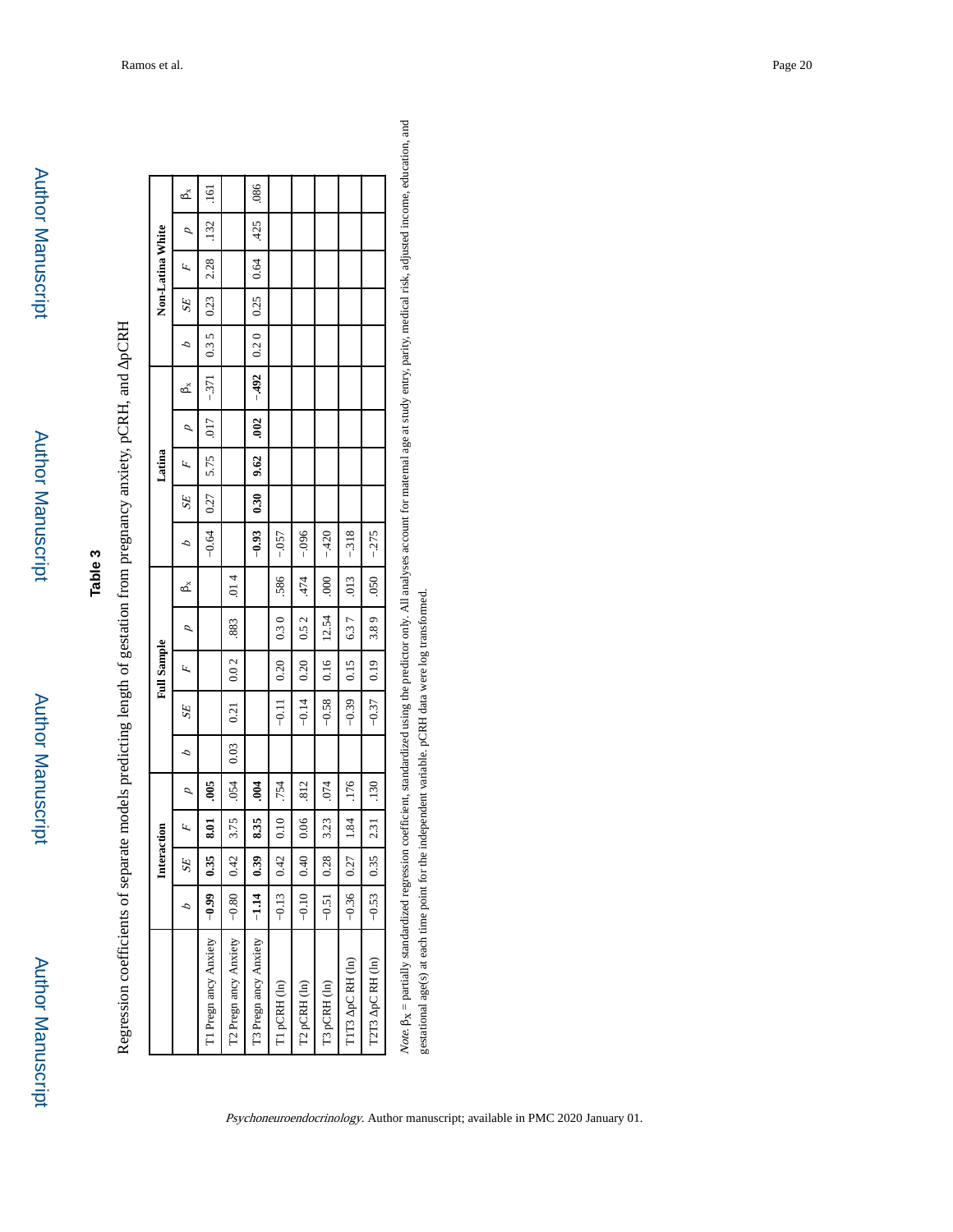| ო  |  |
|----|--|
| ω  |  |
| ۰. |  |
| S  |  |
|    |  |

| ׇ֚֓֡<br>l                                                                                 |  |
|-------------------------------------------------------------------------------------------|--|
| l                                                                                         |  |
|                                                                                           |  |
|                                                                                           |  |
| l                                                                                         |  |
| I                                                                                         |  |
|                                                                                           |  |
| š<br>ł                                                                                    |  |
| l<br>ì<br>Ì<br>۱<br>֧֧֧֧֧֧֧ׅ֧֧֧֚֚֚֚֚֚֚֚֚֚֚֚֚֚֚֚֚֚֚֚֚֚֚֚֚֚֚֚֚֚֚֝֝֓֝֓֝֓֝֓֝֬֜֓֝֬֝֬<br>ļ<br>l |  |

|                                                                                                                                                                                                 |         | Interaction    |      |                     |      |         | <b>Full Sample</b> |       |         |          |                | Latina |      |        |      |      | Non-Latina White |      |               |
|-------------------------------------------------------------------------------------------------------------------------------------------------------------------------------------------------|---------|----------------|------|---------------------|------|---------|--------------------|-------|---------|----------|----------------|--------|------|--------|------|------|------------------|------|---------------|
|                                                                                                                                                                                                 | ٥       | SE             | Ŀ,   | p                   | ٥    | SE      | Ц.                 | ₽     | ద్      | ٥        | SE <sub></sub> | Ц.     | ₽    | മ്     | ٥    | SE   | LL.              | p    | ക്            |
| T1 Pregn ancy Anxiety                                                                                                                                                                           | $-0.99$ | 0.35           | 5.OI | .005                |      |         |                    |       |         | $-0.64$  | 0.27           | 5.75   | 017  | $-371$ | 0.35 | 0.23 | 2.28             | .132 | $\frac{1}{2}$ |
| T2 Pregn ancy Anxiety                                                                                                                                                                           | $-0.80$ | 0.42           | 3.75 | .054                | 0.03 | 0.21    | 0.02               | .883  | 014     |          |                |        |      |        |      |      |                  |      |               |
| T3 Pregn ancy Anxiety                                                                                                                                                                           | $-1.14$ | $\frac{39}{2}$ | 8.35 | $\ddot{\mathbf{e}}$ |      |         |                    |       |         | $-0.93$  | 0.30           | 9.62   | .002 | $-492$ | 0.20 | 0.25 | 0.64             | .425 | .086          |
| T1 pCRH (ln)                                                                                                                                                                                    | $-0.13$ | 0.42           | 0.10 | .754                |      | $-0.11$ | 0.20               | 0.30  | 586     | $-.057$  |                |        |      |        |      |      |                  |      |               |
| T2 pCRH (ln)                                                                                                                                                                                    | $-0.10$ | 0.40           | 0.06 | .812                |      | $-0.14$ | 0.20               | 0.52  | .474    | $-0.096$ |                |        |      |        |      |      |                  |      |               |
| T3 pCRH (ln)                                                                                                                                                                                    | $-0.51$ | 0.28           | 3.23 | .074                |      | $-0.58$ | 0.16               | 12.54 | $000$ . | $-420$   |                |        |      |        |      |      |                  |      |               |
| TIT3 pC RH (ln)                                                                                                                                                                                 | $-0.36$ | 0.27           | 1.84 | .176                |      | $-0.39$ | 0.15               | 6.37  | .013    | $-318$   |                |        |      |        |      |      |                  |      |               |
| T2T3 pC RH (ln)                                                                                                                                                                                 | $-0.53$ | 0.35           | 2.31 | .130                |      | $-0.37$ | 0.19               | 3.89  | 050     | $-275$   |                |        |      |        |      |      |                  |      |               |
| Note By = partially standardized regression coefficient standardized using the predictor only. All analyses account for maternal age at study entry marity medical risk adjusted income, educal |         |                |      |                     |      |         |                    |       |         |          |                |        |      |        |      |      |                  |      |               |

Note. B<sub>X</sub> = partially standardized regression coefficient, standardized using the predictor only. All analyses account for maternal age at study entry, parity, medical risk, adjusted income, education, and tion, and gestational age(s) at each time point for the independent variable. pCRH data were log transformed. gestational age(s) at each time point for the independent variable. pCRH data were log transformed. ì i, a á 5  $M = \frac{1}{2}$